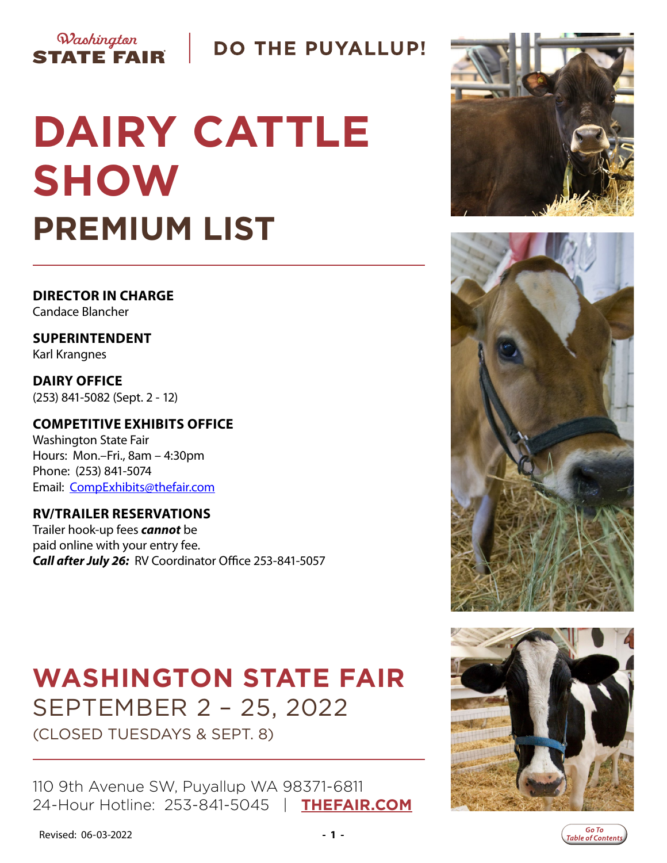

# **DO THE PUYALLUP!**

# **DAIRY CATTLE SHOW PREMIUM LIST**

**DIRECTOR IN CHARGE** Candace Blancher

**SUPERINTENDENT** Karl Krangnes

**DAIRY OFFICE**  (253) 841-5082 (Sept. 2 - 12)

### **COMPETITIVE EXHIBITS OFFICE**

Washington State Fair Hours: Mon.–Fri., 8am – 4:30pm Phone: (253) 841-5074 Email: [CompExhibits@thefair.com](mailto:CompExhibits%40thefair.com?subject=Dairy%20Cattle%20Show%20inquiry)

### **RV/TRAILER RESERVATIONS**

Trailer hook-up fees *cannot* be paid online with your entry fee. *Call after July 26:* RV Coordinator Office 253-841-5057

# **WASHINGTON STATE FAIR** SEPTEMBER 2 – 25, 2022 (CLOSED TUESDAYS & SEPT. 8)

110 9th Avenue SW, Puyallup WA 98371-6811 24-Hour Hotline: 253-841-5045 | **[THEFAIR.COM](http://www.thefair.com)**







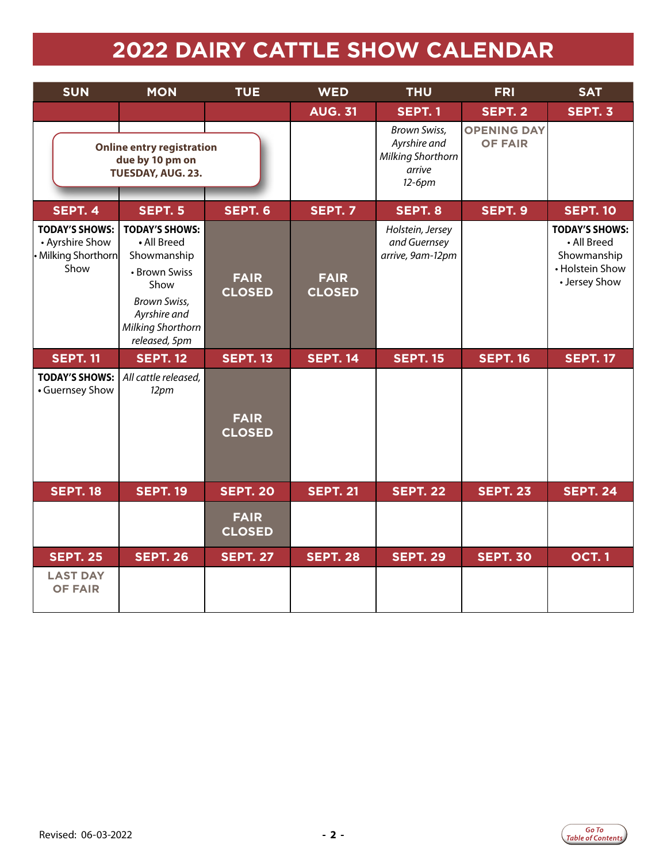# **2022 DAIRY CATTLE SHOW CALENDAR**

<span id="page-1-0"></span>

| <b>SUN</b>                                                              | <b>MON</b>                                                                                                                                                | <b>TUE</b>                   | <b>WED</b>                   | <b>THU</b>                                                                          |                                      | <b>SAT</b>                                                                              |
|-------------------------------------------------------------------------|-----------------------------------------------------------------------------------------------------------------------------------------------------------|------------------------------|------------------------------|-------------------------------------------------------------------------------------|--------------------------------------|-----------------------------------------------------------------------------------------|
|                                                                         |                                                                                                                                                           |                              | <b>AUG. 31</b>               | <b>SEPT. 1</b>                                                                      | SEPT. 2                              | SEPT. 3                                                                                 |
|                                                                         | <b>Online entry registration</b><br>due by 10 pm on<br>TUESDAY, AUG. 23.                                                                                  |                              |                              | <b>Brown Swiss,</b><br>Ayrshire and<br><b>Milking Shorthorn</b><br>arrive<br>12-6pm | <b>OPENING DAY</b><br><b>OF FAIR</b> |                                                                                         |
| SEPT. 4                                                                 | <b>SEPT. 5</b>                                                                                                                                            | SEPT. 6                      | <b>SEPT. 7</b>               | SEPT. 8                                                                             | SEPT. 9                              | <b>SEPT. 10</b>                                                                         |
| <b>TODAY'S SHOWS:</b><br>• Ayrshire Show<br>· Milking Shorthorn<br>Show | <b>TODAY'S SHOWS:</b><br>• All Breed<br>Showmanship<br>• Brown Swiss<br>Show<br><b>Brown Swiss,</b><br>Ayrshire and<br>Milking Shorthorn<br>released, 5pm | <b>FAIR</b><br><b>CLOSED</b> | <b>FAIR</b><br><b>CLOSED</b> | Holstein, Jersey<br>and Guernsey<br>arrive, 9am-12pm                                |                                      | <b>TODAY'S SHOWS:</b><br>• All Breed<br>Showmanship<br>• Holstein Show<br>• Jersey Show |
| <b>SEPT. 11</b>                                                         | <b>SEPT. 12</b>                                                                                                                                           | <b>SEPT. 13</b>              | <b>SEPT. 14</b>              | <b>SEPT. 15</b>                                                                     | <b>SEPT. 16</b>                      | <b>SEPT. 17</b>                                                                         |
| <b>TODAY'S SHOWS:</b><br>• Guernsey Show                                | All cattle released,<br>12 <sub>pm</sub>                                                                                                                  | <b>FAIR</b><br><b>CLOSED</b> |                              |                                                                                     |                                      |                                                                                         |
| <b>SEPT. 18</b>                                                         | <b>SEPT. 19</b>                                                                                                                                           | <b>SEPT. 20</b>              | <b>SEPT. 21</b>              | <b>SEPT. 22</b>                                                                     | <b>SEPT. 23</b>                      | <b>SEPT. 24</b>                                                                         |
|                                                                         |                                                                                                                                                           | <b>FAIR</b><br><b>CLOSED</b> |                              |                                                                                     |                                      |                                                                                         |
| <b>SEPT. 25</b>                                                         | <b>SEPT. 26</b>                                                                                                                                           | <b>SEPT. 27</b>              | <b>SEPT. 28</b>              | <b>SEPT. 29</b>                                                                     | <b>SEPT. 30</b>                      | <b>OCT.1</b>                                                                            |
| <b>LAST DAY</b><br><b>OF FAIR</b>                                       |                                                                                                                                                           |                              |                              |                                                                                     |                                      |                                                                                         |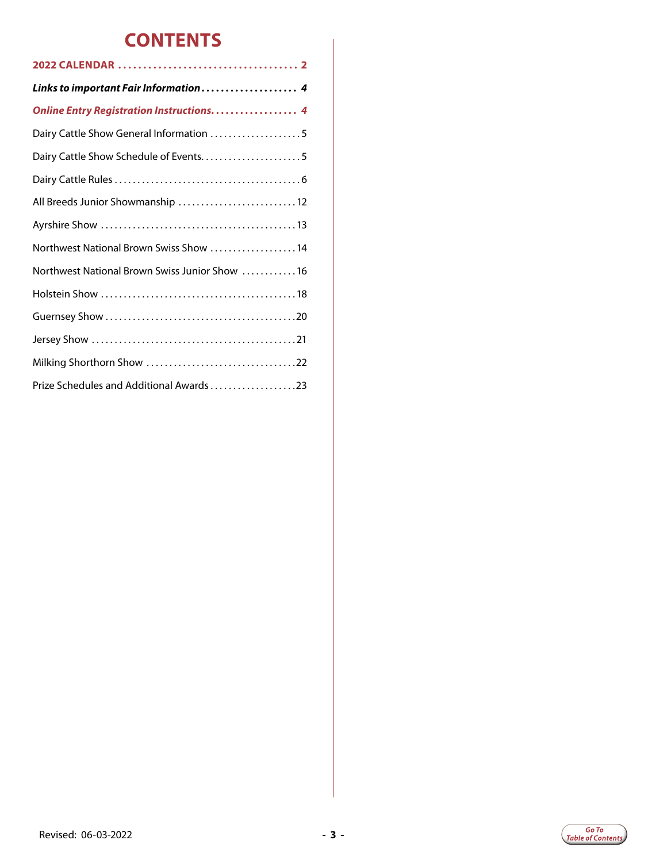# **CONTENTS**

| Links to important Fair Information 4           |
|-------------------------------------------------|
| <b>Online Entry Registration Instructions 4</b> |
| Dairy Cattle Show General Information 5         |
| Dairy Cattle Show Schedule of Events5           |
|                                                 |
| All Breeds Junior Showmanship  12               |
|                                                 |
| Northwest National Brown Swiss Show 14          |
| Northwest National Brown Swiss Junior Show 16   |
|                                                 |
|                                                 |
|                                                 |
|                                                 |
| Prize Schedules and Additional Awards23         |

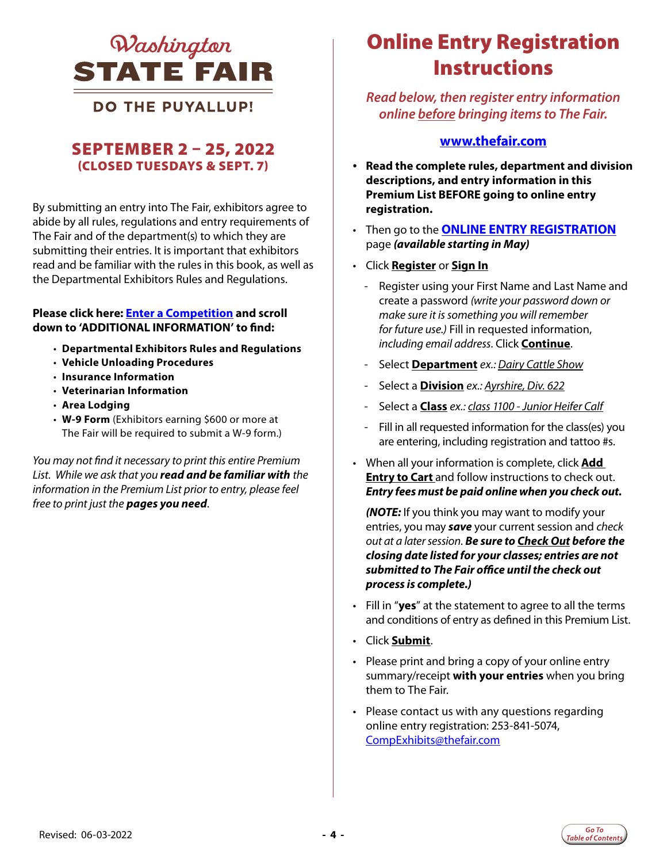<span id="page-3-0"></span>

### **DO THE PUYALLUP!**

### SEPTEMBER 2 – 25, 2022 (CLOSED TUESDAYS & SEPT. 7)

By submitting an entry into The Fair, exhibitors agree to abide by all rules, regulations and entry requirements of The Fair and of the department(s) to which they are submitting their entries. It is important that exhibitors read and be familiar with the rules in this book, as well as the Departmental Exhibitors Rules and Regulations.

#### **Please click here: [Enter a Competition](https://www.thefair.com/get-involved/competitive-exhibits/) and scroll down to 'ADDITIONAL INFORMATION' to find:**

- **Departmental Exhibitors Rules and Regulations**
- **Vehicle Unloading Procedures**
- **Insurance Information**
- **Veterinarian Information**
- **Area Lodging**
- **W-9 Form** (Exhibitors earning \$600 or more at The Fair will be required to submit a W-9 form.)

*You may not find it necessary to print this entire Premium List. While we ask that you read and be familiar with the information in the Premium List prior to entry, please feel free to print just the pages you need*.

# *Lashington Online Entry Registration* **Instructions**

*Read below, then register entry information online before bringing items to The Fair.* 

#### **[www.thefair.com](http://www.thefair.com)**

- **Read the complete rules, department and division descriptions, and entry information in this Premium List BEFORE going to online entry registration.**
- Then go to the **[ONLINE ENTRY REGISTRATION](https://wwf.fairwire.com/)** page *(available starting in May)*
- Click **Register** or **Sign In**
	- Register using your First Name and Last Name and create a password *(write your password down or make sure it is something you will remember for future use.)* Fill in requested information, *including email address*. Click **Continue**.
	- Select **Department** *ex.: Dairy Cattle Show*
	- Select a **Division** *ex.: Ayrshire, Div. 622*
	- Select a **Class** *ex.: class 1100 Junior Heifer Calf*
	- Fill in all requested information for the class(es) you are entering, including registration and tattoo #s.
- When all your information is complete, click **Add Entry to Cart** and follow instructions to check out. *Entry fees must be paid online when you check out.*

*(NOTE:* If you think you may want to modify your entries, you may *save* your current session and *check out at a later session*. *Be sure to Check Out before the closing date listed for your classes; entries are not submitted to The Fair office until the check out process is complete.)*

- Fill in "**yes**" at the statement to agree to all the terms and conditions of entry as defined in this Premium List.
- Click **Submit**.
- Please print and bring a copy of your online entry summary/receipt **with your entries** when you bring them to The Fair.
- Please contact us with any questions regarding online entry registration: 253-841-5074, [CompExhibits@thefair.com](mailto:CompExhibits%40thefair.com?subject=Competitive%20Exhibits%20question)

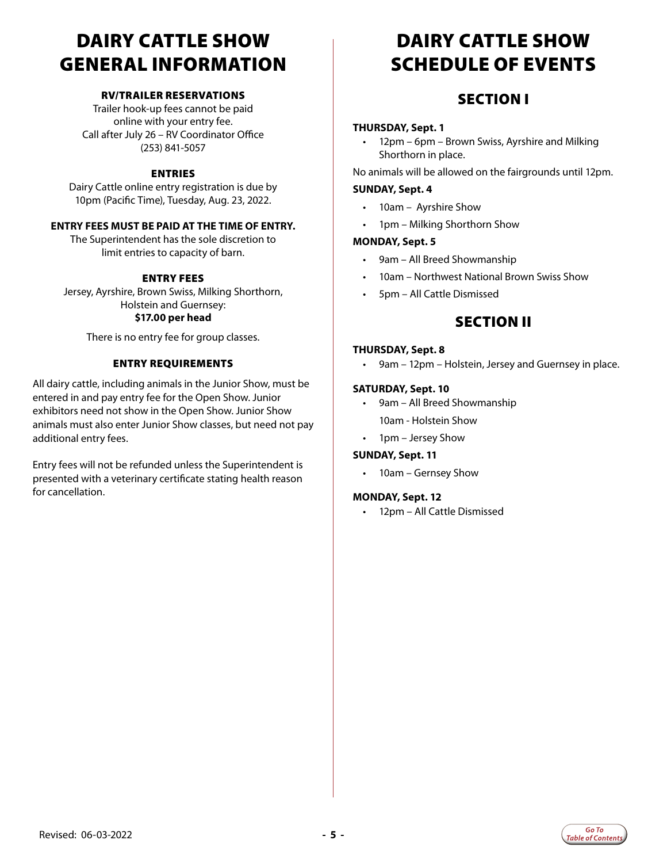# <span id="page-4-0"></span>DAIRY CATTLE SHOW GENERAL INFORMATION

#### RV/TRAILER RESERVATIONS

Trailer hook-up fees cannot be paid online with your entry fee. Call after July 26 – RV Coordinator Office (253) 841-5057

#### ENTRIES

Dairy Cattle online entry registration is due by 10pm (Pacific Time), Tuesday, Aug. 23, 2022.

#### **ENTRY FEES MUST BE PAID AT THE TIME OF ENTRY.**

The Superintendent has the sole discretion to limit entries to capacity of barn.

#### ENTRY FEES

Jersey, Ayrshire, Brown Swiss, Milking Shorthorn, Holstein and Guernsey: **\$17.00 per head**

There is no entry fee for group classes.

#### ENTRY REQUIREMENTS

All dairy cattle, including animals in the Junior Show, must be entered in and pay entry fee for the Open Show. Junior exhibitors need not show in the Open Show. Junior Show animals must also enter Junior Show classes, but need not pay additional entry fees.

Entry fees will not be refunded unless the Superintendent is presented with a veterinary certificate stating health reason for cancellation.

# DAIRY CATTLE SHOW SCHEDULE OF EVENTS

### SECTION I

#### **THURSDAY, Sept. 1**

• 12pm – 6pm – Brown Swiss, Ayrshire and Milking Shorthorn in place.

No animals will be allowed on the fairgrounds until 12pm.

#### **SUNDAY, Sept. 4**

- 10am Ayrshire Show
- 1pm Milking Shorthorn Show

#### **MONDAY, Sept. 5**

- 9am All Breed Showmanship
- 10am Northwest National Brown Swiss Show
- 5pm All Cattle Dismissed

#### SECTION II

#### **THURSDAY, Sept. 8**

9am – 12pm – Holstein, Jersey and Guernsey in place.

#### **SATURDAY, Sept. 10**

- 9am All Breed Showmanship 10am - Holstein Show
- 1pm Jersey Show

#### **SUNDAY, Sept. 11**

• 10am – Gernsey Show

#### **MONDAY, Sept. 12**

12pm - All Cattle Dismissed

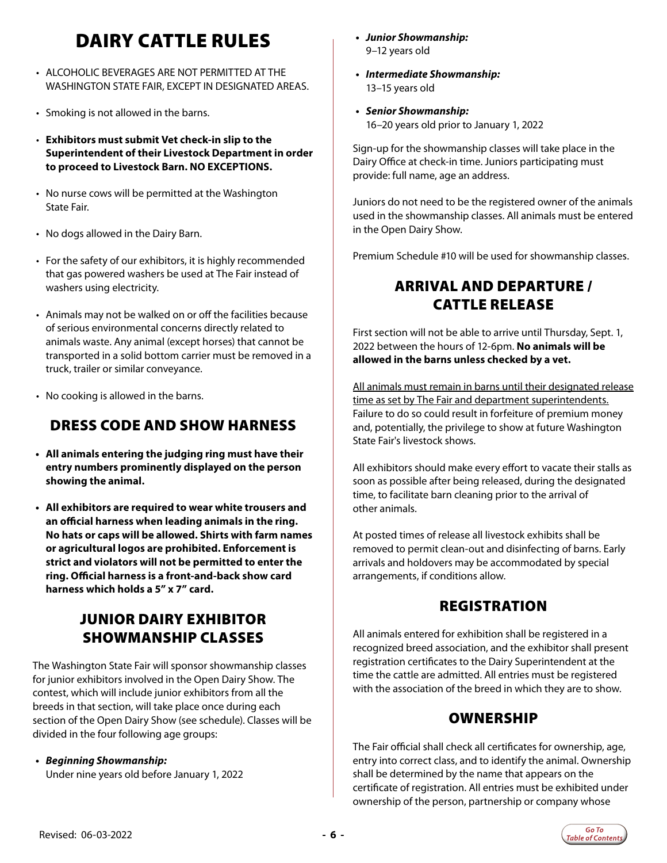# DAIRY CATTLE RULES

- <span id="page-5-0"></span>• ALCOHOLIC BEVERAGES ARE NOT PERMITTED AT THE WASHINGTON STATE FAIR, EXCEPT IN DESIGNATED AREAS.
- Smoking is not allowed in the barns.
- **Exhibitors must submit Vet check-in slip to the Superintendent of their Livestock Department in order to proceed to Livestock Barn. NO EXCEPTIONS.**
- No nurse cows will be permitted at the Washington State Fair.
- No dogs allowed in the Dairy Barn.
- For the safety of our exhibitors, it is highly recommended that gas powered washers be used at The Fair instead of washers using electricity.
- Animals may not be walked on or off the facilities because of serious environmental concerns directly related to animals waste. Any animal (except horses) that cannot be transported in a solid bottom carrier must be removed in a truck, trailer or similar conveyance.
- No cooking is allowed in the barns.

### DRESS CODE AND SHOW HARNESS

- **• All animals entering the judging ring must have their entry numbers prominently displayed on the person showing the animal.**
- **• All exhibitors are required to wear white trousers and an official harness when leading animals in the ring. No hats or caps will be allowed. Shirts with farm names or agricultural logos are prohibited. Enforcement is strict and violators will not be permitted to enter the ring. Official harness is a front-and-back show card harness which holds a 5" x 7" card.**

### JUNIOR DAIRY EXHIBITOR SHOWMANSHIP CLASSES

The Washington State Fair will sponsor showmanship classes for junior exhibitors involved in the Open Dairy Show. The contest, which will include junior exhibitors from all the breeds in that section, will take place once during each section of the Open Dairy Show (see schedule). Classes will be divided in the four following age groups:

#### *• Beginning Showmanship:*

Under nine years old before January 1, 2022

- *• Junior Showmanship:*  9–12 years old
- *• Intermediate Showmanship:*  13–15 years old
- *• Senior Showmanship:*  16–20 years old prior to January 1, 2022

Sign-up for the showmanship classes will take place in the Dairy Office at check-in time. Juniors participating must provide: full name, age an address.

Juniors do not need to be the registered owner of the animals used in the showmanship classes. All animals must be entered in the Open Dairy Show.

Premium Schedule #10 will be used for showmanship classes.

### ARRIVAL AND DEPARTURE / CATTLE RELEASE

First section will not be able to arrive until Thursday, Sept. 1, 2022 between the hours of 12-6pm. **No animals will be allowed in the barns unless checked by a vet.**

All animals must remain in barns until their designated release time as set by The Fair and department superintendents. Failure to do so could result in forfeiture of premium money and, potentially, the privilege to show at future Washington State Fair's livestock shows.

All exhibitors should make every effort to vacate their stalls as soon as possible after being released, during the designated time, to facilitate barn cleaning prior to the arrival of other animals.

At posted times of release all livestock exhibits shall be removed to permit clean-out and disinfecting of barns. Early arrivals and holdovers may be accommodated by special arrangements, if conditions allow.

### REGISTRATION

All animals entered for exhibition shall be registered in a recognized breed association, and the exhibitor shall present registration certificates to the Dairy Superintendent at the time the cattle are admitted. All entries must be registered with the association of the breed in which they are to show.

### **OWNERSHIP**

The Fair official shall check all certificates for ownership, age, entry into correct class, and to identify the animal. Ownership shall be determined by the name that appears on the certificate of registration. All entries must be exhibited under ownership of the person, partnership or company whose

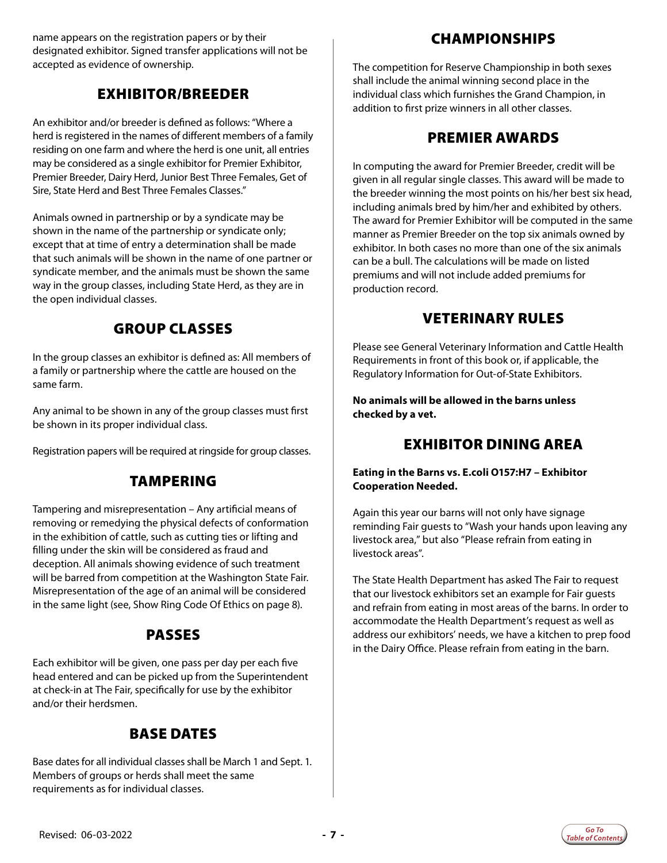name appears on the registration papers or by their designated exhibitor. Signed transfer applications will not be accepted as evidence of ownership.

### EXHIBITOR/BREEDER

An exhibitor and/or breeder is defined as follows: "Where a herd is registered in the names of different members of a family residing on one farm and where the herd is one unit, all entries may be considered as a single exhibitor for Premier Exhibitor, Premier Breeder, Dairy Herd, Junior Best Three Females, Get of Sire, State Herd and Best Three Females Classes."

Animals owned in partnership or by a syndicate may be shown in the name of the partnership or syndicate only; except that at time of entry a determination shall be made that such animals will be shown in the name of one partner or syndicate member, and the animals must be shown the same way in the group classes, including State Herd, as they are in the open individual classes.

### GROUP CLASSES

In the group classes an exhibitor is defined as: All members of a family or partnership where the cattle are housed on the same farm.

Any animal to be shown in any of the group classes must first be shown in its proper individual class.

Registration papers will be required at ringside for group classes.

### TAMPERING

Tampering and misrepresentation – Any artificial means of removing or remedying the physical defects of conformation in the exhibition of cattle, such as cutting ties or lifting and filling under the skin will be considered as fraud and deception. All animals showing evidence of such treatment will be barred from competition at the Washington State Fair. Misrepresentation of the age of an animal will be considered in the same light (see, Show Ring Code Of Ethics on page 8).

### PASSES

Each exhibitor will be given, one pass per day per each five head entered and can be picked up from the Superintendent at check-in at The Fair, specifically for use by the exhibitor and/or their herdsmen.

### BASE DATES

Base dates for all individual classes shall be March 1 and Sept. 1. Members of groups or herds shall meet the same requirements as for individual classes.

### CHAMPIONSHIPS

The competition for Reserve Championship in both sexes shall include the animal winning second place in the individual class which furnishes the Grand Champion, in addition to first prize winners in all other classes.

### PREMIER AWARDS

In computing the award for Premier Breeder, credit will be given in all regular single classes. This award will be made to the breeder winning the most points on his/her best six head, including animals bred by him/her and exhibited by others. The award for Premier Exhibitor will be computed in the same manner as Premier Breeder on the top six animals owned by exhibitor. In both cases no more than one of the six animals can be a bull. The calculations will be made on listed premiums and will not include added premiums for production record.

### VETERINARY RULES

Please see General Veterinary Information and Cattle Health Requirements in front of this book or, if applicable, the Regulatory Information for Out-of-State Exhibitors.

**No animals will be allowed in the barns unless checked by a vet.**

### EXHIBITOR DINING AREA

#### **Eating in the Barns vs. E.coli O157:H7 – Exhibitor Cooperation Needed.**

Again this year our barns will not only have signage reminding Fair guests to "Wash your hands upon leaving any livestock area," but also "Please refrain from eating in livestock areas".

The State Health Department has asked The Fair to request that our livestock exhibitors set an example for Fair guests and refrain from eating in most areas of the barns. In order to accommodate the Health Department's request as well as address our exhibitors' needs, we have a kitchen to prep food in the Dairy Office. Please refrain from eating in the barn.

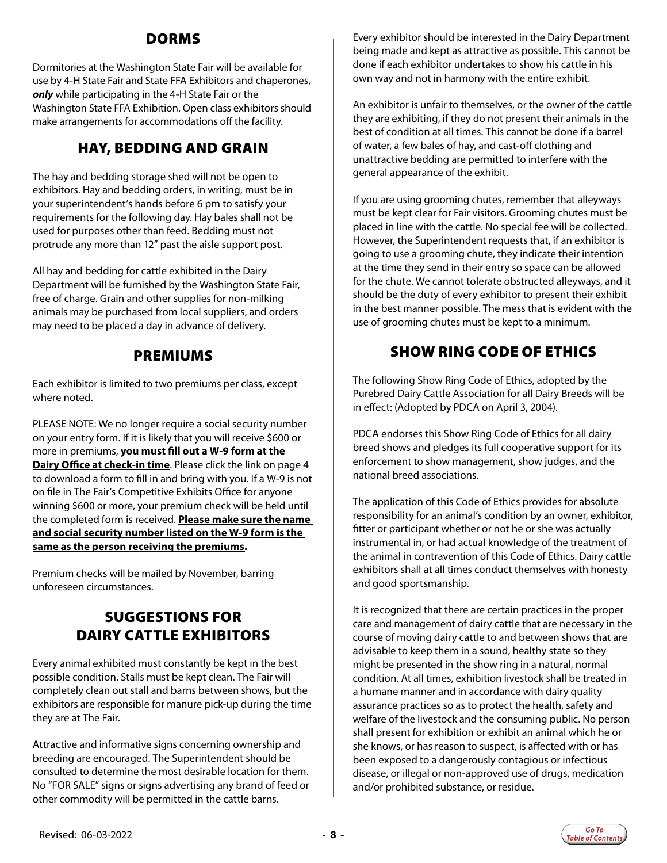### DORMS

Dormitories at the Washington State Fair will be available for use by 4-H State Fair and State FFA Exhibitors and chaperones, *only* while participating in the 4-H State Fair or the Washington State FFA Exhibition. Open class exhibitors should make arrangements for accommodations off the facility.

### HAY, BEDDING AND GRAIN

The hay and bedding storage shed will not be open to exhibitors. Hay and bedding orders, in writing, must be in your superintendent's hands before 6 pm to satisfy your requirements for the following day. Hay bales shall not be used for purposes other than feed. Bedding must not protrude any more than 12" past the aisle support post.

All hay and bedding for cattle exhibited in the Dairy Department will be furnished by the Washington State Fair, free of charge. Grain and other supplies for non-milking animals may be purchased from local suppliers, and orders may need to be placed a day in advance of delivery.

### PREMIUMS

Each exhibitor is limited to two premiums per class, except where noted.

PLEASE NOTE: We no longer require a social security number on your entry form. If it is likely that you will receive \$600 or more in premiums, **you must fill out a W-9 form at the Dairy Office at check-in time**. Please click the link on page 4 to download a form to fill in and bring with you. If a W-9 is not on file in The Fair's Competitive Exhibits Office for anyone winning \$600 or more, your premium check will be held until the completed form is received. **Please make sure the name and social security number listed on the W-9 form is the same as the person receiving the premiums***.*

Premium checks will be mailed by November, barring unforeseen circumstances.

### SUGGESTIONS FOR DAIRY CATTLE EXHIBITORS

Every animal exhibited must constantly be kept in the best possible condition. Stalls must be kept clean. The Fair will completely clean out stall and barns between shows, but the exhibitors are responsible for manure pick-up during the time they are at The Fair.

Attractive and informative signs concerning ownership and breeding are encouraged. The Superintendent should be consulted to determine the most desirable location for them. No "FOR SALE" signs or signs advertising any brand of feed or other commodity will be permitted in the cattle barns.

Every exhibitor should be interested in the Dairy Department being made and kept as attractive as possible. This cannot be done if each exhibitor undertakes to show his cattle in his own way and not in harmony with the entire exhibit.

An exhibitor is unfair to themselves, or the owner of the cattle they are exhibiting, if they do not present their animals in the best of condition at all times. This cannot be done if a barrel of water, a few bales of hay, and cast-off clothing and unattractive bedding are permitted to interfere with the general appearance of the exhibit.

If you are using grooming chutes, remember that alleyways must be kept clear for Fair visitors. Grooming chutes must be placed in line with the cattle. No special fee will be collected. However, the Superintendent requests that, if an exhibitor is going to use a grooming chute, they indicate their intention at the time they send in their entry so space can be allowed for the chute. We cannot tolerate obstructed alleyways, and it should be the duty of every exhibitor to present their exhibit in the best manner possible. The mess that is evident with the use of grooming chutes must be kept to a minimum.

### SHOW RING CODE OF ETHICS

The following Show Ring Code of Ethics, adopted by the Purebred Dairy Cattle Association for all Dairy Breeds will be in effect: (Adopted by PDCA on April 3, 2004).

PDCA endorses this Show Ring Code of Ethics for all dairy breed shows and pledges its full cooperative support for its enforcement to show management, show judges, and the national breed associations.

The application of this Code of Ethics provides for absolute responsibility for an animal's condition by an owner, exhibitor, fitter or participant whether or not he or she was actually instrumental in, or had actual knowledge of the treatment of the animal in contravention of this Code of Ethics. Dairy cattle exhibitors shall at all times conduct themselves with honesty and good sportsmanship.

It is recognized that there are certain practices in the proper care and management of dairy cattle that are necessary in the course of moving dairy cattle to and between shows that are advisable to keep them in a sound, healthy state so they might be presented in the show ring in a natural, normal condition. At all times, exhibition livestock shall be treated in a humane manner and in accordance with dairy quality assurance practices so as to protect the health, safety and welfare of the livestock and the consuming public. No person shall present for exhibition or exhibit an animal which he or she knows, or has reason to suspect, is affected with or has been exposed to a dangerously contagious or infectious disease, or illegal or non-approved use of drugs, medication and/or prohibited substance, or residue.

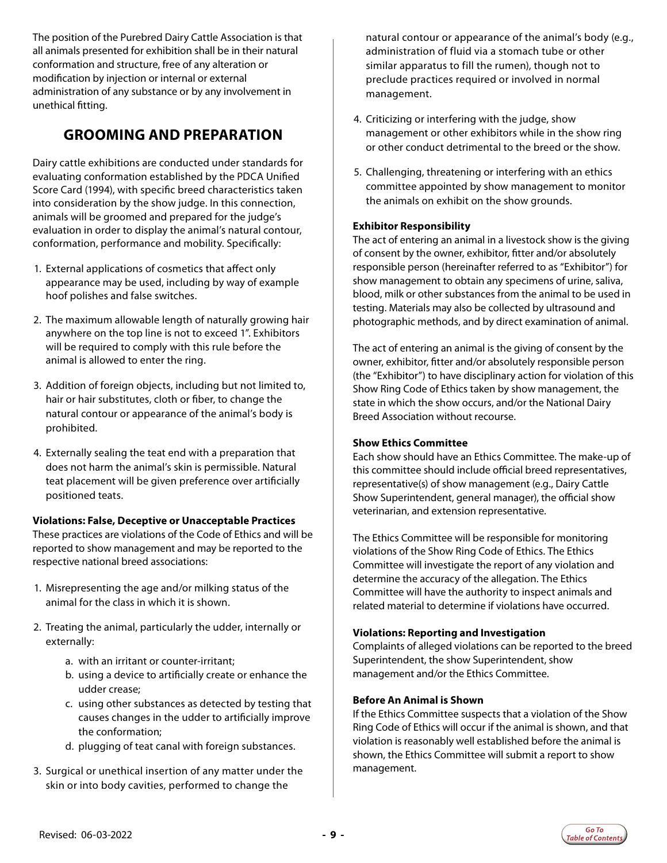The position of the Purebred Dairy Cattle Association is that all animals presented for exhibition shall be in their natural conformation and structure, free of any alteration or modification by injection or internal or external administration of any substance or by any involvement in unethical fitting.

### **GROOMING AND PREPARATION**

Dairy cattle exhibitions are conducted under standards for evaluating conformation established by the PDCA Unified Score Card (1994), with specific breed characteristics taken into consideration by the show judge. In this connection, animals will be groomed and prepared for the judge's evaluation in order to display the animal's natural contour, conformation, performance and mobility. Specifically:

- 1. External applications of cosmetics that affect only appearance may be used, including by way of example hoof polishes and false switches.
- 2. The maximum allowable length of naturally growing hair anywhere on the top line is not to exceed 1". Exhibitors will be required to comply with this rule before the animal is allowed to enter the ring.
- 3. Addition of foreign objects, including but not limited to, hair or hair substitutes, cloth or fiber, to change the natural contour or appearance of the animal's body is prohibited.
- 4. Externally sealing the teat end with a preparation that does not harm the animal's skin is permissible. Natural teat placement will be given preference over artificially positioned teats.

#### **Violations: False, Deceptive or Unacceptable Practices**

These practices are violations of the Code of Ethics and will be reported to show management and may be reported to the respective national breed associations:

- 1. Misrepresenting the age and/or milking status of the animal for the class in which it is shown.
- 2. Treating the animal, particularly the udder, internally or externally:
	- a. with an irritant or counter-irritant;
	- b. using a device to artificially create or enhance the udder crease;
	- c. using other substances as detected by testing that causes changes in the udder to artificially improve the conformation;
	- d. plugging of teat canal with foreign substances.
- 3. Surgical or unethical insertion of any matter under the skin or into body cavities, performed to change the

natural contour or appearance of the animal's body (e.g., administration of fluid via a stomach tube or other similar apparatus to fill the rumen), though not to preclude practices required or involved in normal management.

- 4. Criticizing or interfering with the judge, show management or other exhibitors while in the show ring or other conduct detrimental to the breed or the show.
- 5. Challenging, threatening or interfering with an ethics committee appointed by show management to monitor the animals on exhibit on the show grounds.

#### **Exhibitor Responsibility**

The act of entering an animal in a livestock show is the giving of consent by the owner, exhibitor, fitter and/or absolutely responsible person (hereinafter referred to as "Exhibitor") for show management to obtain any specimens of urine, saliva, blood, milk or other substances from the animal to be used in testing. Materials may also be collected by ultrasound and photographic methods, and by direct examination of animal.

The act of entering an animal is the giving of consent by the owner, exhibitor, fitter and/or absolutely responsible person (the "Exhibitor") to have disciplinary action for violation of this Show Ring Code of Ethics taken by show management, the state in which the show occurs, and/or the National Dairy Breed Association without recourse.

#### **Show Ethics Committee**

Each show should have an Ethics Committee. The make-up of this committee should include official breed representatives, representative(s) of show management (e.g., Dairy Cattle Show Superintendent, general manager), the official show veterinarian, and extension representative.

The Ethics Committee will be responsible for monitoring violations of the Show Ring Code of Ethics. The Ethics Committee will investigate the report of any violation and determine the accuracy of the allegation. The Ethics Committee will have the authority to inspect animals and related material to determine if violations have occurred.

#### **Violations: Reporting and Investigation**

Complaints of alleged violations can be reported to the breed Superintendent, the show Superintendent, show management and/or the Ethics Committee.

#### **Before An Animal is Shown**

If the Ethics Committee suspects that a violation of the Show Ring Code of Ethics will occur if the animal is shown, and that violation is reasonably well established before the animal is shown, the Ethics Committee will submit a report to show management.

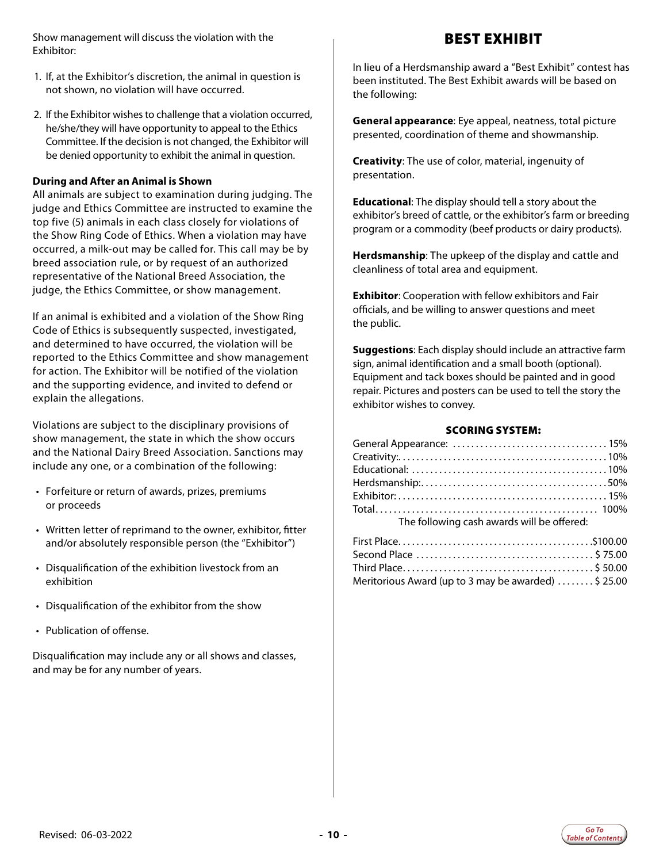Show management will discuss the violation with the Exhibitor:

- 1. If, at the Exhibitor's discretion, the animal in question is not shown, no violation will have occurred.
- 2. If the Exhibitor wishes to challenge that a violation occurred, he/she/they will have opportunity to appeal to the Ethics Committee. If the decision is not changed, the Exhibitor will be denied opportunity to exhibit the animal in question.

#### **During and After an Animal is Shown**

All animals are subject to examination during judging. The judge and Ethics Committee are instructed to examine the top five (5) animals in each class closely for violations of the Show Ring Code of Ethics. When a violation may have occurred, a milk-out may be called for. This call may be by breed association rule, or by request of an authorized representative of the National Breed Association, the judge, the Ethics Committee, or show management.

If an animal is exhibited and a violation of the Show Ring Code of Ethics is subsequently suspected, investigated, and determined to have occurred, the violation will be reported to the Ethics Committee and show management for action. The Exhibitor will be notified of the violation and the supporting evidence, and invited to defend or explain the allegations.

Violations are subject to the disciplinary provisions of show management, the state in which the show occurs and the National Dairy Breed Association. Sanctions may include any one, or a combination of the following:

- Forfeiture or return of awards, prizes, premiums or proceeds
- Written letter of reprimand to the owner, exhibitor, fitter and/or absolutely responsible person (the "Exhibitor")
- Disqualification of the exhibition livestock from an exhibition
- Disqualification of the exhibitor from the show
- Publication of offense.

Disqualification may include any or all shows and classes, and may be for any number of years.

BEST EXHIBIT

In lieu of a Herdsmanship award a "Best Exhibit" contest has been instituted. The Best Exhibit awards will be based on the following:

**General appearance**: Eye appeal, neatness, total picture presented, coordination of theme and showmanship.

**Creativity**: The use of color, material, ingenuity of presentation.

**Educational**: The display should tell a story about the exhibitor's breed of cattle, or the exhibitor's farm or breeding program or a commodity (beef products or dairy products).

**Herdsmanship**: The upkeep of the display and cattle and cleanliness of total area and equipment.

**Exhibitor**: Cooperation with fellow exhibitors and Fair officials, and be willing to answer questions and meet the public.

**Suggestions**: Each display should include an attractive farm sign, animal identification and a small booth (optional). Equipment and tack boxes should be painted and in good repair. Pictures and posters can be used to tell the story the exhibitor wishes to convey.

#### SCORING SYSTEM:

| The following cash awards will be offered: |  |
|--------------------------------------------|--|

| Meritorious Award (up to 3 may be awarded)  \$25.00 |  |
|-----------------------------------------------------|--|

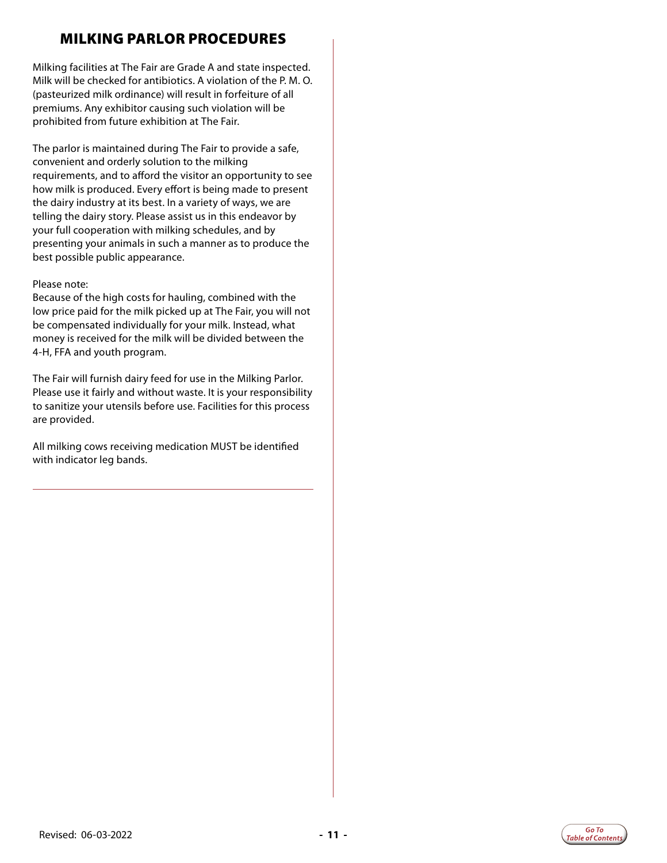### MILKING PARLOR PROCEDURES

Milking facilities at The Fair are Grade A and state inspected. Milk will be checked for antibiotics. A violation of the P. M. O. (pasteurized milk ordinance) will result in forfeiture of all premiums. Any exhibitor causing such violation will be prohibited from future exhibition at The Fair.

The parlor is maintained during The Fair to provide a safe, convenient and orderly solution to the milking requirements, and to afford the visitor an opportunity to see how milk is produced. Every effort is being made to present the dairy industry at its best. In a variety of ways, we are telling the dairy story. Please assist us in this endeavor by your full cooperation with milking schedules, and by presenting your animals in such a manner as to produce the best possible public appearance.

#### Please note:

Because of the high costs for hauling, combined with the low price paid for the milk picked up at The Fair, you will not be compensated individually for your milk. Instead, what money is received for the milk will be divided between the 4-H, FFA and youth program.

The Fair will furnish dairy feed for use in the Milking Parlor. Please use it fairly and without waste. It is your responsibility to sanitize your utensils before use. Facilities for this process are provided.

All milking cows receiving medication MUST be identified with indicator leg bands.



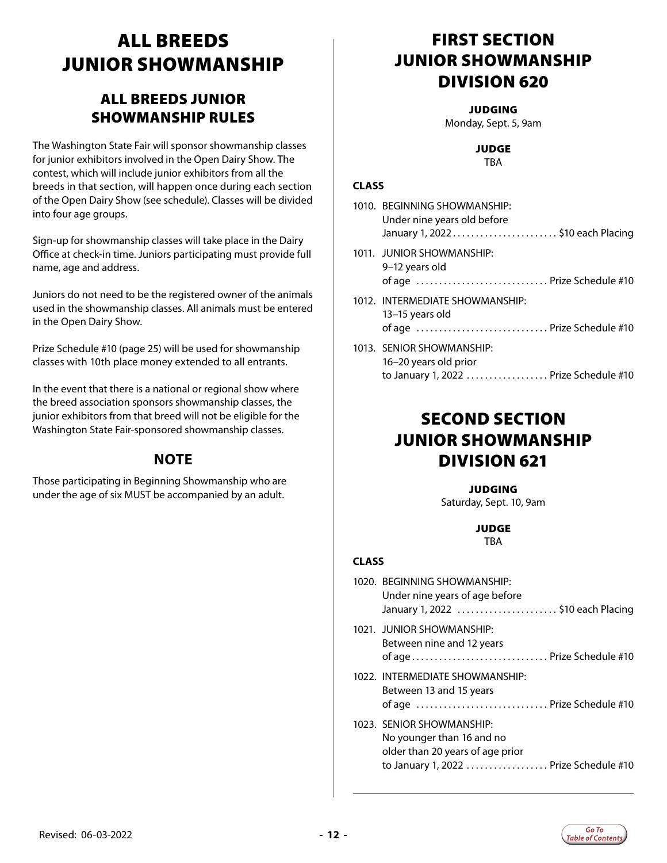# <span id="page-11-0"></span>ALL BREEDS JUNIOR SHOWMANSHIP

### ALL BREEDS JUNIOR SHOWMANSHIP RULES

The Washington State Fair will sponsor showmanship classes for junior exhibitors involved in the Open Dairy Show. The contest, which will include junior exhibitors from all the breeds in that section, will happen once during each section of the Open Dairy Show (see schedule). Classes will be divided into four age groups.

Sign-up for showmanship classes will take place in the Dairy Office at check-in time. Juniors participating must provide full name, age and address.

Juniors do not need to be the registered owner of the animals used in the showmanship classes. All animals must be entered in the Open Dairy Show.

Prize Schedule #10 (page 25) will be used for showmanship classes with 10th place money extended to all entrants.

In the event that there is a national or regional show where the breed association sponsors showmanship classes, the junior exhibitors from that breed will not be eligible for the Washington State Fair-sponsored showmanship classes.

### **NOTE**

Those participating in Beginning Showmanship who are under the age of six MUST be accompanied by an adult.

# FIRST SECTION JUNIOR SHOWMANSHIP DIVISION 620

#### **JUDGING**

Monday, Sept. 5, 9am

#### JUDGE

**TBA** 

#### **CLASS**

| 1010. BEGINNING SHOWMANSHIP:<br>Under nine years old before<br>January 1, 2022 \$10 each Placing |
|--------------------------------------------------------------------------------------------------|
| 1011. JUNIOR SHOWMANSHIP:<br>9-12 years old<br>of age  Prize Schedule #10                        |
| 1012. INTERMEDIATE SHOWMANSHIP:<br>13–15 years old<br>of age  Prize Schedule #10                 |
| 1013. SENIOR SHOWMANSHIP:<br>16–20 vears old prior                                               |

### SECOND SECTION JUNIOR SHOWMANSHIP DIVISION 621

to January 1, 2022 ................... Prize Schedule #10

**JUDGING** Saturday, Sept. 10, 9am

### JUDGE

TBA

| 1020. BEGINNING SHOWMANSHIP:<br>Under nine years of age before<br>January 1, 2022 \$10 each Placing                                  |  |
|--------------------------------------------------------------------------------------------------------------------------------------|--|
| 1021. JUNIOR SHOWMANSHIP:<br>Between nine and 12 years<br>of age Prize Schedule #10                                                  |  |
| 1022. INTERMEDIATE SHOWMANSHIP:<br>Between 13 and 15 years<br>of age  Prize Schedule #10                                             |  |
| 1023. SENIOR SHOWMANSHIP:<br>No younger than 16 and no<br>older than 20 years of age prior<br>to January 1, 2022  Prize Schedule #10 |  |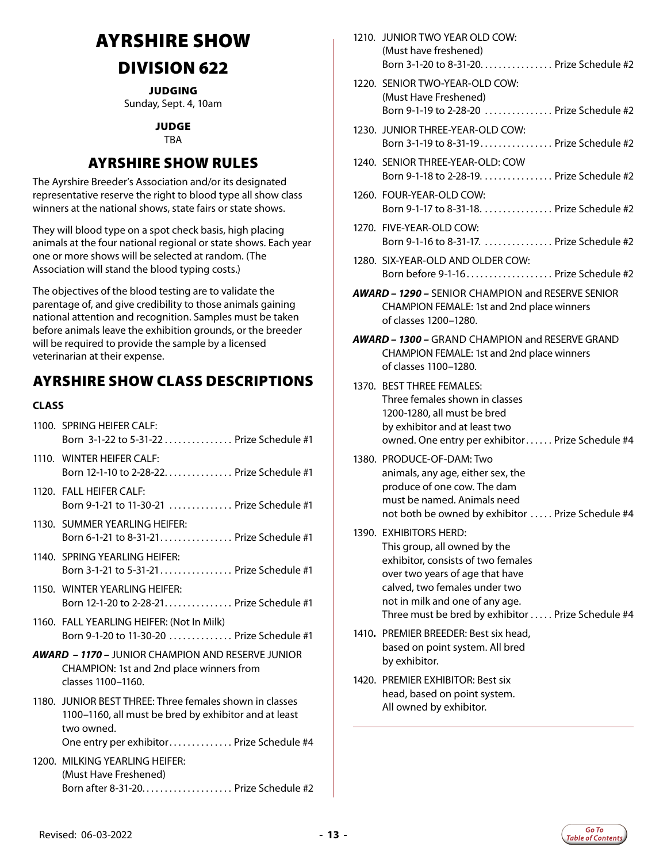# <span id="page-12-0"></span>AYRSHIRE SHOW DIVISION 622

JUDGING

Sunday, Sept. 4, 10am

#### JUDGE

TBA

### AYRSHIRE SHOW RULES

The Ayrshire Breeder's Association and/or its designated representative reserve the right to blood type all show class winners at the national shows, state fairs or state shows.

They will blood type on a spot check basis, high placing animals at the four national regional or state shows. Each year one or more shows will be selected at random. (The Association will stand the blood typing costs.)

The objectives of the blood testing are to validate the parentage of, and give credibility to those animals gaining national attention and recognition. Samples must be taken before animals leave the exhibition grounds, or the breeder will be required to provide the sample by a licensed veterinarian at their expense.

### AYRSHIRE SHOW CLASS DESCRIPTIONS

#### **CLASS**

- 1100. SPRING HEIFER CALF: Born 3-1-22 to 5-31-22 . . . . . . . . . . . . . . Prize Schedule #1
- 1110. WINTER HEIFER CALF: Born 12-1-10 to 2-28-22. . . . . . . . . . . . . . Prize Schedule #1
- 1120. FALL HEIFER CALF: Born 9-1-21 to 11-30-21 . . . . . . . . . . . . . Prize Schedule #1
- 1130. SUMMER YEARLING HEIFER: Born 6-1-21 to 8-31-21. . . . . . . . . . . . . . . . Prize Schedule #1
- 1140. SPRING YEARLING HEIFER: Born 3-1-21 to 5-31-21. . . . . . . . . . . . . . . Prize Schedule #1
- 1150. WINTER YEARLING HEIFER: Born 12-1-20 to 2-28-21. . . . . . . . . . . . . . . Prize Schedule #1
- 1160. FALL YEARLING HEIFER: (Not In Milk) Born 9-1-20 to 11-30-20. . . Prize Schedule #1
- *AWARD 1170 –* JUNIOR CHAMPION AND RESERVE JUNIOR CHAMPION: 1st and 2nd place winners from classes 1100–1160.
- 1180. JUNIOR BEST THREE: Three females shown in classes 1100–1160, all must be bred by exhibitor and at least two owned. One entry per exhibitor............. Prize Schedule #4
- 1200. MILKING YEARLING HEIFER:
- (Must Have Freshened) Born after 8-31-20........................ Prize Schedule  $#2$

| 17 I.U. | JUNIUK I WU YEAR ULD LUW.<br>(Must have freshened)<br>Born 3-1-20 to 8-31-20. Prize Schedule #2                                                                                                                                                           |
|---------|-----------------------------------------------------------------------------------------------------------------------------------------------------------------------------------------------------------------------------------------------------------|
|         | 1220. SENIOR TWO-YEAR-OLD COW:<br>(Must Have Freshened)<br>Born 9-1-19 to 2-28-20  Prize Schedule #2                                                                                                                                                      |
|         | 1230. JUNIOR THREE-YEAR-OLD COW:<br>Born 3-1-19 to 8-31-19 Prize Schedule #2                                                                                                                                                                              |
|         | 1240. SENIOR THREE-YEAR-OLD: COW<br>Born 9-1-18 to 2-28-19. Prize Schedule #2                                                                                                                                                                             |
|         | 1260. FOUR-YEAR-OLD COW:<br>Born 9-1-17 to 8-31-18. Prize Schedule #2                                                                                                                                                                                     |
|         | 1270. FIVE-YEAR-OLD COW:<br>Born 9-1-16 to 8-31-17.  Prize Schedule #2                                                                                                                                                                                    |
|         | 1280. SIX-YEAR-OLD AND OLDER COW:<br>Born before 9-1-16 Prize Schedule #2                                                                                                                                                                                 |
|         | <b>AWARD - 1290 - SENIOR CHAMPION and RESERVE SENIOR</b><br>CHAMPION FEMALE: 1st and 2nd place winners<br>of classes 1200-1280.                                                                                                                           |
|         | <b>AWARD – 1300 – GRAND CHAMPION and RESERVE GRAND</b><br>CHAMPION FEMALE: 1st and 2nd place winners<br>of classes 1100-1280.                                                                                                                             |
|         | 1370. BEST THREE FEMALES:<br>Three females shown in classes<br>1200-1280, all must be bred<br>by exhibitor and at least two<br>owned. One entry per exhibitor Prize Schedule #4                                                                           |
|         | 1380. PRODUCE-OF-DAM: Two<br>animals, any age, either sex, the<br>produce of one cow. The dam<br>must be named. Animals need<br>not both be owned by exhibitor  Prize Schedule #4                                                                         |
|         | 1390. EXHIBITORS HERD:<br>This group, all owned by the<br>exhibitor, consists of two females<br>over two years of age that have<br>calved, two females under two<br>not in milk and one of any age.<br>Three must be bred by exhibitor  Prize Schedule #4 |
|         | 1410. PREMIER BREEDER: Best six head,<br>based on point system. All bred<br>by exhibitor.                                                                                                                                                                 |
|         | 1420. PREMIER EXHIBITOR: Best six<br>head, based on point system.<br>All owned by exhibitor.                                                                                                                                                              |
|         |                                                                                                                                                                                                                                                           |

1210. JUNIOR TWO YEAR OLD COW:

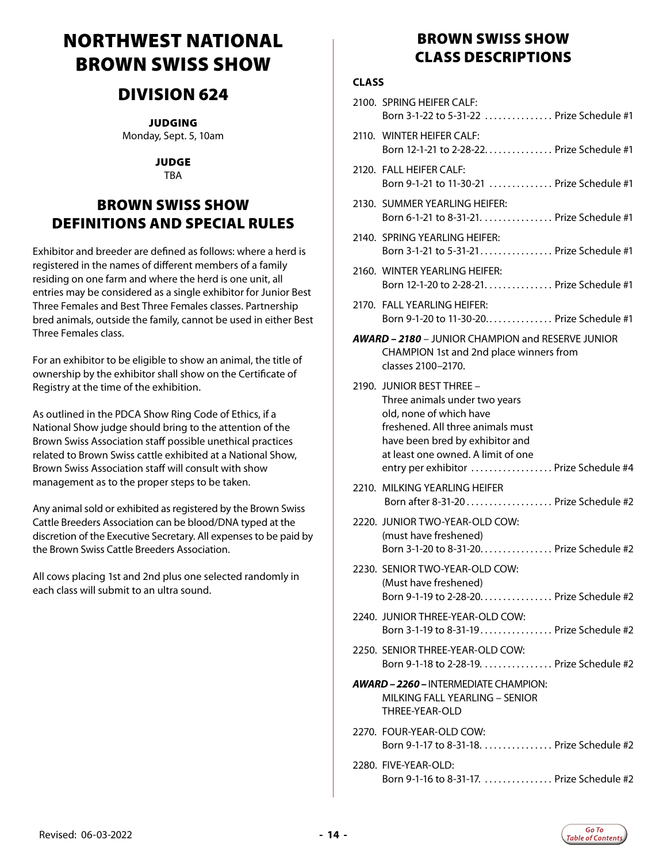# <span id="page-13-0"></span>NORTHWEST NATIONAL BROWN SWISS SHOW

### DIVISION 624

JUDGING

Monday, Sept. 5, 10am

JUDGE TBA

### BROWN SWISS SHOW DEFINITIONS AND SPECIAL RULES

Exhibitor and breeder are defined as follows: where a herd is registered in the names of different members of a family residing on one farm and where the herd is one unit, all entries may be considered as a single exhibitor for Junior Best Three Females and Best Three Females classes. Partnership bred animals, outside the family, cannot be used in either Best Three Females class.

For an exhibitor to be eligible to show an animal, the title of ownership by the exhibitor shall show on the Certificate of Registry at the time of the exhibition.

As outlined in the PDCA Show Ring Code of Ethics, if a National Show judge should bring to the attention of the Brown Swiss Association staff possible unethical practices related to Brown Swiss cattle exhibited at a National Show, Brown Swiss Association staff will consult with show management as to the proper steps to be taken.

Any animal sold or exhibited as registered by the Brown Swiss Cattle Breeders Association can be blood/DNA typed at the discretion of the Executive Secretary. All expenses to be paid by the Brown Swiss Cattle Breeders Association.

All cows placing 1st and 2nd plus one selected randomly in each class will submit to an ultra sound.

### BROWN SWISS SHOW CLASS DESCRIPTIONS

| <b>CLASS</b> |                                                                                                                                                                                                                                               |
|--------------|-----------------------------------------------------------------------------------------------------------------------------------------------------------------------------------------------------------------------------------------------|
|              | 2100. SPRING HEIFER CALF:<br>Born 3-1-22 to 5-31-22  Prize Schedule #1                                                                                                                                                                        |
|              | 2110. WINTER HEIFER CALF:<br>Born 12-1-21 to 2-28-22. Prize Schedule #1                                                                                                                                                                       |
|              | 2120. FALL HEIFER CALF:<br>Born 9-1-21 to 11-30-21  Prize Schedule #1                                                                                                                                                                         |
|              | 2130. SUMMER YEARLING HEIFER:<br>Born 6-1-21 to 8-31-21.  Prize Schedule #1                                                                                                                                                                   |
|              | 2140. SPRING YEARLING HEIFER:<br>Born 3-1-21 to 5-31-21 Prize Schedule #1                                                                                                                                                                     |
|              | 2160. WINTER YEARLING HEIFER:<br>Born 12-1-20 to 2-28-21. Prize Schedule #1                                                                                                                                                                   |
|              | 2170. FALL YEARLING HEIFER:<br>Born 9-1-20 to 11-30-20 Prize Schedule #1                                                                                                                                                                      |
|              | <b>AWARD - 2180 - JUNIOR CHAMPION and RESERVE JUNIOR</b><br>CHAMPION 1st and 2nd place winners from<br>classes 2100-2170.                                                                                                                     |
|              | 2190. JUNIOR BEST THREE -<br>Three animals under two years<br>old, none of which have<br>freshened. All three animals must<br>have been bred by exhibitor and<br>at least one owned. A limit of one<br>entry per exhibitor  Prize Schedule #4 |
|              | 2210. MILKING YEARLING HEIFER<br>Born after 8-31-20 Prize Schedule #2                                                                                                                                                                         |
|              | 2220. JUNIOR TWO-YEAR-OLD COW:<br>(must have freshened)<br>Born 3-1-20 to 8-31-20. Prize Schedule #2                                                                                                                                          |
|              | 2230. SENIOR TWO-YEAR-OLD COW:<br>(Must have freshened)<br>Born 9-1-19 to 2-28-20. Prize Schedule #2                                                                                                                                          |
|              | 2240. JUNIOR THREE-YEAR-OLD COW:<br>Born 3-1-19 to 8-31-19 Prize Schedule #2                                                                                                                                                                  |
|              | 2250. SENIOR THREE-YEAR-OLD COW:<br>Born 9-1-18 to 2-28-19.  Prize Schedule #2                                                                                                                                                                |
|              | AWARD - 2260 - INTERMEDIATE CHAMPION:<br>MILKING FALL YEARLING - SENIOR<br>THREE-YEAR-OLD                                                                                                                                                     |
|              | 2270. FOUR-YEAR-OLD COW:<br>Born 9-1-17 to 8-31-18. Prize Schedule #2                                                                                                                                                                         |
|              | 2280. FIVE-YEAR-OLD:<br>Born 9-1-16 to 8-31-17.  Prize Schedule #2                                                                                                                                                                            |

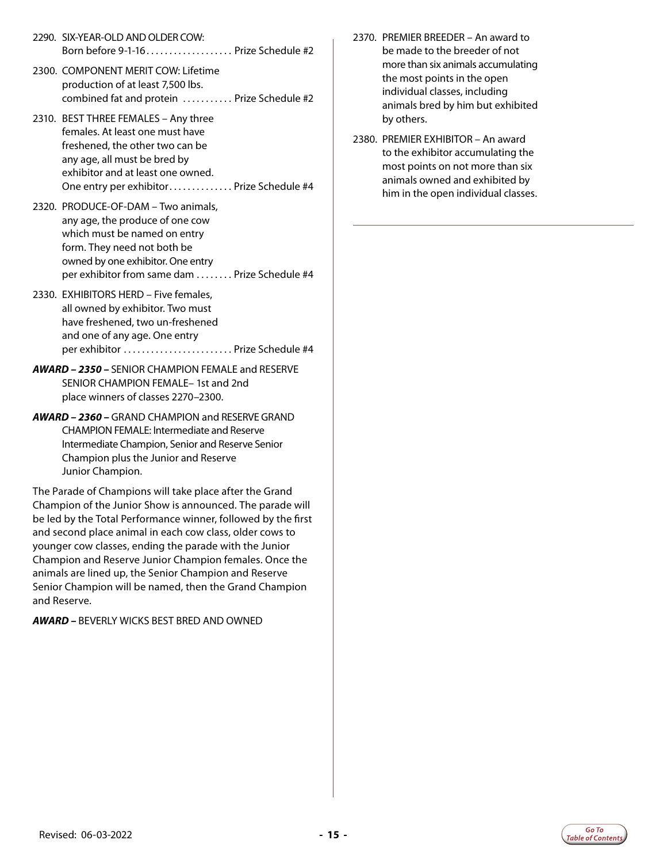- 2290. SIX-YEAR-OLD AND OLDER COW: Born before  $9-1-16$ .................... Prize Schedule #2
- 2300. COMPONENT MERIT COW: Lifetime production of at least 7,500 lbs. combined fat and protein ........... Prize Schedule #2
- 2310. BEST THREE FEMALES Any three females. At least one must have freshened, the other two can be any age, all must be bred by exhibitor and at least one owned. One entry per exhibitor.............. Prize Schedule #4
- 2320. PRODUCE-OF-DAM Two animals, any age, the produce of one cow which must be named on entry form. They need not both be owned by one exhibitor. One entry per exhibitor from same dam . . . . . . . . Prize Schedule #4
- 2330. EXHIBITORS HERD Five females, all owned by exhibitor. Two must have freshened, two un-freshened and one of any age. One entry per exhibitor. . . Prize Schedule #4
- *AWARD 2350* SENIOR CHAMPION FEMALE and RESERVE SENIOR CHAMPION FEMALE– 1st and 2nd place winners of classes 2270–2300.
- *AWARD 2360* GRAND CHAMPION and RESERVE GRAND CHAMPION FEMALE: Intermediate and Reserve Intermediate Champion, Senior and Reserve Senior Champion plus the Junior and Reserve Junior Champion.

The Parade of Champions will take place after the Grand Champion of the Junior Show is announced. The parade will be led by the Total Performance winner, followed by the first and second place animal in each cow class, older cows to younger cow classes, ending the parade with the Junior Champion and Reserve Junior Champion females. Once the animals are lined up, the Senior Champion and Reserve Senior Champion will be named, then the Grand Champion and Reserve.

*AWARD –* BEVERLY WICKS BEST BRED AND OWNED

- 2370. PREMIER BREEDER An award to be made to the breeder of not more than six animals accumulating the most points in the open individual classes, including animals bred by him but exhibited by others.
- 2380. PREMIER EXHIBITOR An award to the exhibitor accumulating the most points on not more than six animals owned and exhibited by him in the open individual classes.

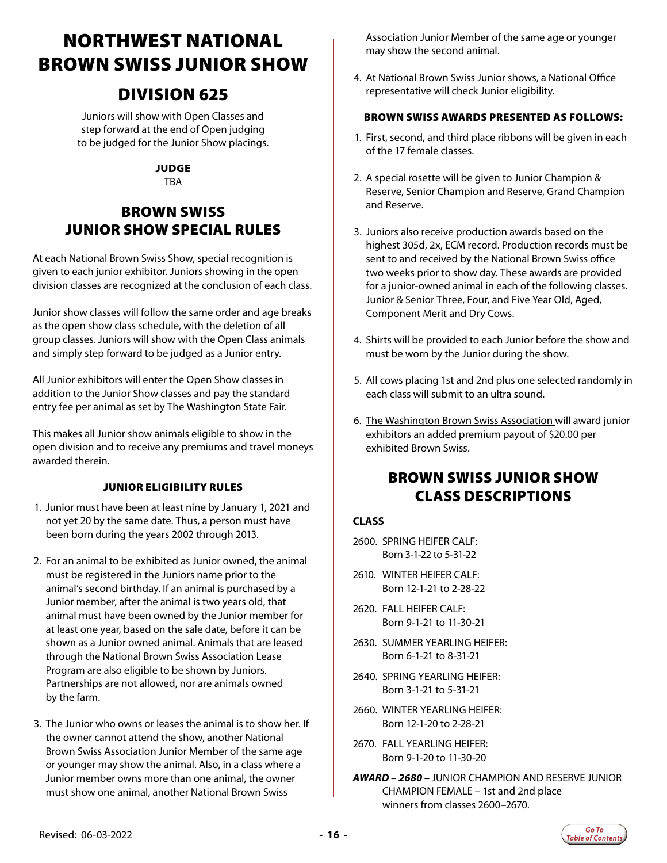# <span id="page-15-0"></span>NORTHWEST NATIONAL BROWN SWISS JUNIOR SHOW

### DIVISION 625

Juniors will show with Open Classes and step forward at the end of Open judging to be judged for the Junior Show placings.

#### JUDGE

**TBA** 

### BROWN SWISS JUNIOR SHOW SPECIAL RULES

At each National Brown Swiss Show, special recognition is given to each junior exhibitor. Juniors showing in the open division classes are recognized at the conclusion of each class.

Junior show classes will follow the same order and age breaks as the open show class schedule, with the deletion of all group classes. Juniors will show with the Open Class animals and simply step forward to be judged as a Junior entry.

All Junior exhibitors will enter the Open Show classes in addition to the Junior Show classes and pay the standard entry fee per animal as set by The Washington State Fair.

This makes all Junior show animals eligible to show in the open division and to receive any premiums and travel moneys awarded therein.

#### JUNIOR ELIGIBILITY RULES

- 1. Junior must have been at least nine by January 1, 2021 and not yet 20 by the same date. Thus, a person must have been born during the years 2002 through 2013.
- 2. For an animal to be exhibited as Junior owned, the animal must be registered in the Juniors name prior to the animal's second birthday. If an animal is purchased by a Junior member, after the animal is two years old, that animal must have been owned by the Junior member for at least one year, based on the sale date, before it can be shown as a Junior owned animal. Animals that are leased through the National Brown Swiss Association Lease Program are also eligible to be shown by Juniors. Partnerships are not allowed, nor are animals owned by the farm.
- 3. The Junior who owns or leases the animal is to show her. If the owner cannot attend the show, another National Brown Swiss Association Junior Member of the same age or younger may show the animal. Also, in a class where a Junior member owns more than one animal, the owner must show one animal, another National Brown Swiss

Association Junior Member of the same age or younger may show the second animal.

4. At National Brown Swiss Junior shows, a National Office representative will check Junior eligibility.

#### BROWN SWISS AWARDS PRESENTED AS FOLLOWS:

- 1. First, second, and third place ribbons will be given in each of the 17 female classes.
- 2. A special rosette will be given to Junior Champion & Reserve, Senior Champion and Reserve, Grand Champion and Reserve.
- 3. Juniors also receive production awards based on the highest 305d, 2x, ECM record. Production records must be sent to and received by the National Brown Swiss office two weeks prior to show day. These awards are provided for a junior-owned animal in each of the following classes. Junior & Senior Three, Four, and Five Year Old, Aged, Component Merit and Dry Cows.
- 4. Shirts will be provided to each Junior before the show and must be worn by the Junior during the show.
- 5. All cows placing 1st and 2nd plus one selected randomly in each class will submit to an ultra sound.
- 6. The Washington Brown Swiss Association will award junior exhibitors an added premium payout of \$20.00 per exhibited Brown Swiss.

### BROWN SWISS JUNIOR SHOW CLASS DESCRIPTIONS

- 2600. SPRING HEIFER CALF: Born 3-1-22 to 5-31-22
- 2610. WINTER HEIFER CALF: Born 12-1-21 to 2-28-22
- 2620. FALL HEIFER CALF: Born 9-1-21 to 11-30-21
- 2630. SUMMER YEARLING HEIFER: Born 6-1-21 to 8-31-21
- 2640. SPRING YEARLING HEIFER: Born 3-1-21 to 5-31-21
- 2660. WINTER YEARLING HEIFER: Born 12-1-20 to 2-28-21
- 2670. FALL YEARLING HEIFER: Born 9-1-20 to 11-30-20
- *AWARD 2680* JUNIOR CHAMPION AND RESERVE JUNIOR CHAMPION FEMALE – 1st and 2nd place winners from classes 2600–2670.

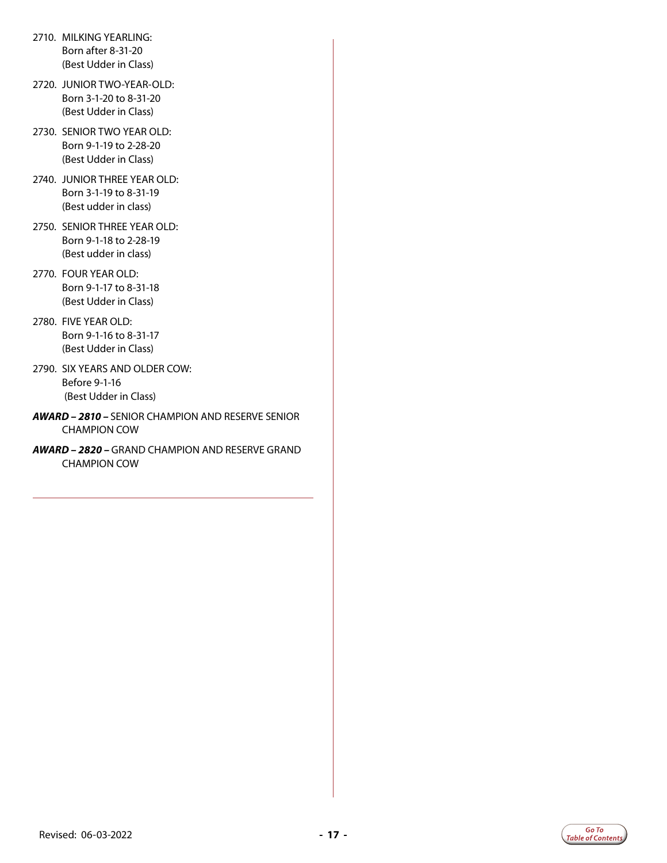- 2710. MILKING YEARLING: Born after 8-31-20 (Best Udder in Class)
- 2720. JUNIOR TWO-YEAR-OLD: Born 3-1-20 to 8-31-20 (Best Udder in Class)
- 2730. SENIOR TWO YEAR OLD: Born 9-1-19 to 2-28-20 (Best Udder in Class)
- 2740. JUNIOR THREE YEAR OLD: Born 3-1-19 to 8-31-19 (Best udder in class)
- 2750. SENIOR THREE YEAR OLD: Born 9-1-18 to 2-28-19 (Best udder in class)
- 2770. FOUR YEAR OLD: Born 9-1-17 to 8-31-18 (Best Udder in Class)
- 2780. FIVE YEAR OLD: Born 9-1-16 to 8-31-17 (Best Udder in Class)
- 2790. SIX YEARS AND OLDER COW: Before 9-1-16 (Best Udder in Class)
- *AWARD 2810* SENIOR CHAMPION AND RESERVE SENIOR CHAMPION COW
- *AWARD 2820* GRAND CHAMPION AND RESERVE GRAND CHAMPION COW

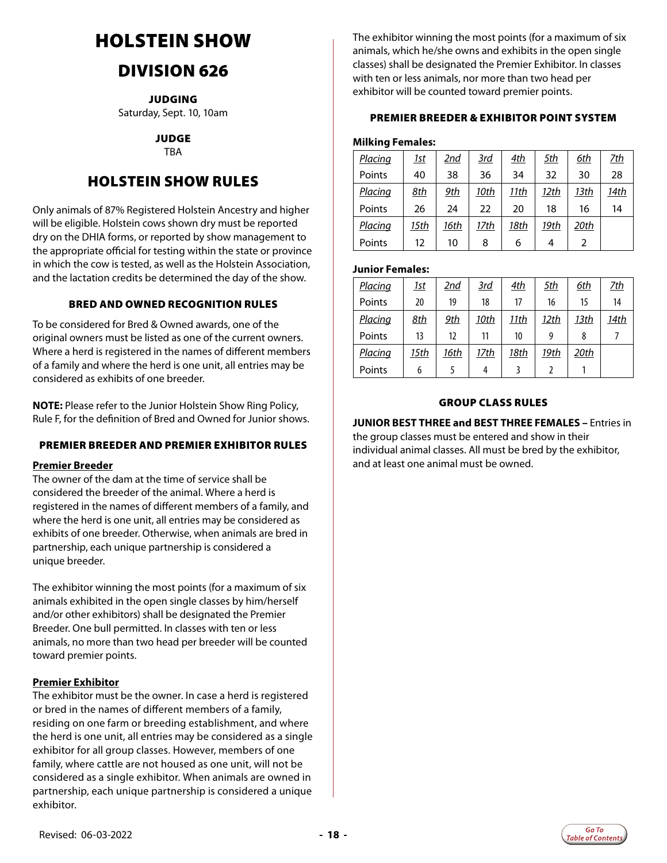# <span id="page-17-0"></span>HOLSTEIN SHOW

# DIVISION 626

JUDGING Saturday, Sept. 10, 10am

> JUDGE TBA

### HOLSTEIN SHOW RULES

Only animals of 87% Registered Holstein Ancestry and higher will be eligible. Holstein cows shown dry must be reported dry on the DHIA forms, or reported by show management to the appropriate official for testing within the state or province in which the cow is tested, as well as the Holstein Association, and the lactation credits be determined the day of the show.

#### BRED AND OWNED RECOGNITION RULES

To be considered for Bred & Owned awards, one of the original owners must be listed as one of the current owners. Where a herd is registered in the names of different members of a family and where the herd is one unit, all entries may be considered as exhibits of one breeder.

**NOTE:** Please refer to the Junior Holstein Show Ring Policy, Rule F, for the definition of Bred and Owned for Junior shows.

#### PREMIER BREEDER AND PREMIER EXHIBITOR RULES

#### **Premier Breeder**

The owner of the dam at the time of service shall be considered the breeder of the animal. Where a herd is registered in the names of different members of a family, and where the herd is one unit, all entries may be considered as exhibits of one breeder. Otherwise, when animals are bred in partnership, each unique partnership is considered a unique breeder.

The exhibitor winning the most points (for a maximum of six animals exhibited in the open single classes by him/herself and/or other exhibitors) shall be designated the Premier Breeder. One bull permitted. In classes with ten or less animals, no more than two head per breeder will be counted toward premier points.

#### **Premier Exhibitor**

The exhibitor must be the owner. In case a herd is registered or bred in the names of different members of a family, residing on one farm or breeding establishment, and where the herd is one unit, all entries may be considered as a single exhibitor for all group classes. However, members of one family, where cattle are not housed as one unit, will not be considered as a single exhibitor. When animals are owned in partnership, each unique partnership is considered a unique exhibitor.

The exhibitor winning the most points (for a maximum of six animals, which he/she owns and exhibits in the open single classes) shall be designated the Premier Exhibitor. In classes with ten or less animals, nor more than two head per exhibitor will be counted toward premier points.

#### PREMIER BREEDER & EXHIBITOR POINT SYSTEM

#### **Milking Females:**

| Placing | <u> 1st</u> | 2nd  | <u>3rd</u> | 4th  | <u>5th</u> | 6th  | <u>7th</u> |
|---------|-------------|------|------------|------|------------|------|------------|
| Points  | 40          | 38   | 36         | 34   | 32         | 30   | 28         |
| Placing | 8th         | 9th  | 10th       | 11th | 12th       | 13th | 14th       |
| Points  | 26          | 24   | 22         | 20   | 18         | 16   | 14         |
| Placing | 15th        | 16th | 17th       | 18th | 19th       | 20th |            |
| Points  | 12          | 10   | 8          | 6    | 4          | 2    |            |

#### **Junior Females:**

| Placing | <u> 1st</u> | 2nd        | <u>3rd</u> | 4th  | <u>5th</u> | 6th  | <u>7th</u> |
|---------|-------------|------------|------------|------|------------|------|------------|
| Points  | 20          | 19         | 18         | 17   | 16         | 15   | 14         |
| Placing | 8th         | <u>9th</u> | 10th       | 11th | 12th       | 13th | 14th       |
| Points  | 13          | 12         | 11         | 10   | q          |      |            |
| Placing | 15th        | 16th       | 17th       | 18th | 19th       | 20th |            |
| Points  | 6           |            |            |      |            |      |            |

#### GROUP CLASS RULES

#### **JUNIOR BEST THREE and BEST THREE FEMALES –** Entries in

the group classes must be entered and show in their individual animal classes. All must be bred by the exhibitor, and at least one animal must be owned.

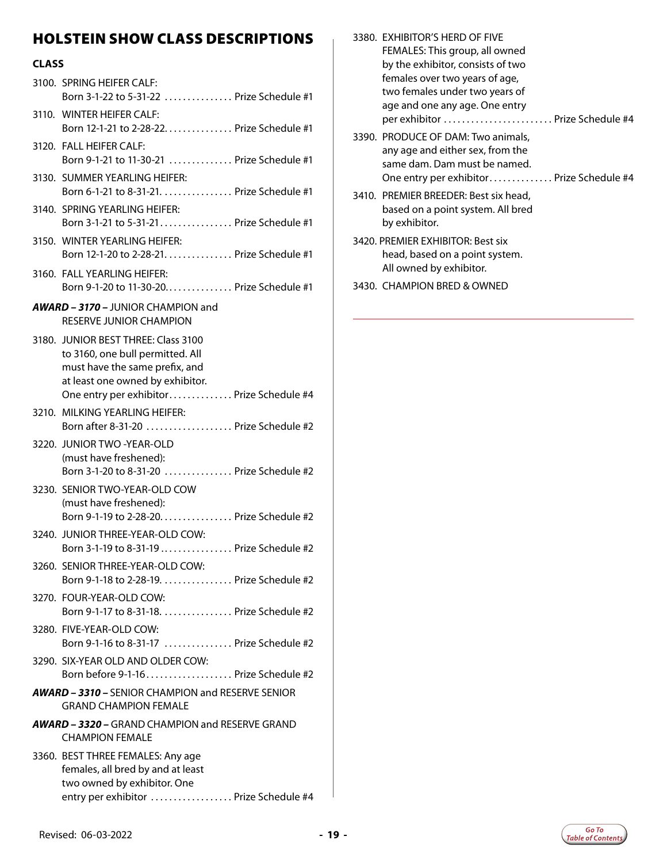### HOLSTEIN SHOW CLASS DESCRIPTIONS

| <b>CLASS</b> |                                                                                                                                                                                            |
|--------------|--------------------------------------------------------------------------------------------------------------------------------------------------------------------------------------------|
|              | 3100. SPRING HEIFER CALF:<br>Born 3-1-22 to 5-31-22  Prize Schedule #1                                                                                                                     |
|              | 3110. WINTER HEIFER CALF:<br>Born 12-1-21 to 2-28-22. Prize Schedule #1                                                                                                                    |
|              | 3120. FALL HEIFER CALF:<br>Born 9-1-21 to 11-30-21  Prize Schedule #1                                                                                                                      |
|              | 3130. SUMMER YEARLING HEIFER:<br>Born 6-1-21 to 8-31-21. Prize Schedule #1                                                                                                                 |
|              | 3140. SPRING YEARLING HEIFER:<br>Born 3-1-21 to 5-31-21 Prize Schedule #1                                                                                                                  |
|              | 3150. WINTER YEARLING HEIFER:<br>Born 12-1-20 to 2-28-21. Prize Schedule #1                                                                                                                |
|              | 3160. FALL YEARLING HEIFER:<br>Born 9-1-20 to 11-30-20 Prize Schedule #1                                                                                                                   |
|              | <b>AWARD - 3170 - JUNIOR CHAMPION and</b>                                                                                                                                                  |
|              | <b>RESERVE JUNIOR CHAMPION</b>                                                                                                                                                             |
|              | 3180. JUNIOR BEST THREE: Class 3100<br>to 3160, one bull permitted. All<br>must have the same prefix, and<br>at least one owned by exhibitor.<br>One entry per exhibitor Prize Schedule #4 |
|              | 3210. MILKING YEARLING HEIFER:<br>Born after 8-31-20  Prize Schedule #2                                                                                                                    |
|              | 3220. JUNIOR TWO -YEAR-OLD<br>(must have freshened):<br>Born 3-1-20 to 8-31-20  Prize Schedule #2                                                                                          |
|              | 3230. SENIOR TWO-YEAR-OLD COW<br>(must have freshened):<br>Born 9-1-19 to 2-28-20. Prize Schedule #2                                                                                       |
|              | 3240. JUNIOR THREE-YEAR-OLD COW:<br>Born 3-1-19 to 8-31-19  Prize Schedule #2                                                                                                              |
|              | 3260. SENIOR THREE-YEAR-OLD COW:<br>Born 9-1-18 to 2-28-19.  Prize Schedule #2                                                                                                             |
|              | 3270. FOUR-YEAR-OLD COW:<br>Born 9-1-17 to 8-31-18. Prize Schedule #2                                                                                                                      |
|              | 3280. FIVE-YEAR-OLD COW:<br>Born 9-1-16 to 8-31-17  Prize Schedule #2                                                                                                                      |
|              | 3290. SIX-YEAR OLD AND OLDER COW:<br>Born before 9-1-16 Prize Schedule #2                                                                                                                  |
|              | AWARD - 3310 - SENIOR CHAMPION and RESERVE SENIOR<br><b>GRAND CHAMPION FEMALE</b>                                                                                                          |
|              | <b>AWARD – 3320 – GRAND CHAMPION and RESERVE GRAND</b><br><b>CHAMPION FEMALE</b>                                                                                                           |
|              | 3360. BEST THREE FEMALES: Any age<br>females, all bred by and at least<br>two owned by exhibitor. One                                                                                      |

entry per exhibitor .................. Prize Schedule #4

|  | 3380. EXHIBITOR'S HERD OF FIVE                                         |
|--|------------------------------------------------------------------------|
|  | FEMALES: This group, all owned                                         |
|  | by the exhibitor, consists of two                                      |
|  | females over two years of age,                                         |
|  | two females under two years of                                         |
|  | age and one any age. One entry                                         |
|  | per exhibitor  Prize Schedule #4                                       |
|  | 3390. PRODUCE OF DAM: Two animals,<br>any age and either sex, from the |
|  | same dam. Dam must be named.                                           |
|  | One entry per exhibitor Prize Schedule #4                              |
|  | 3410. PREMIER BREEDER: Best six head,                                  |
|  | based on a point system. All bred                                      |
|  | by exhibitor.                                                          |
|  | 3420. PREMIER EXHIBITOR: Best six<br>head, based on a point system.    |
|  | All owned by exhibitor.                                                |
|  |                                                                        |

3430. CHAMPION BRED & OWNED

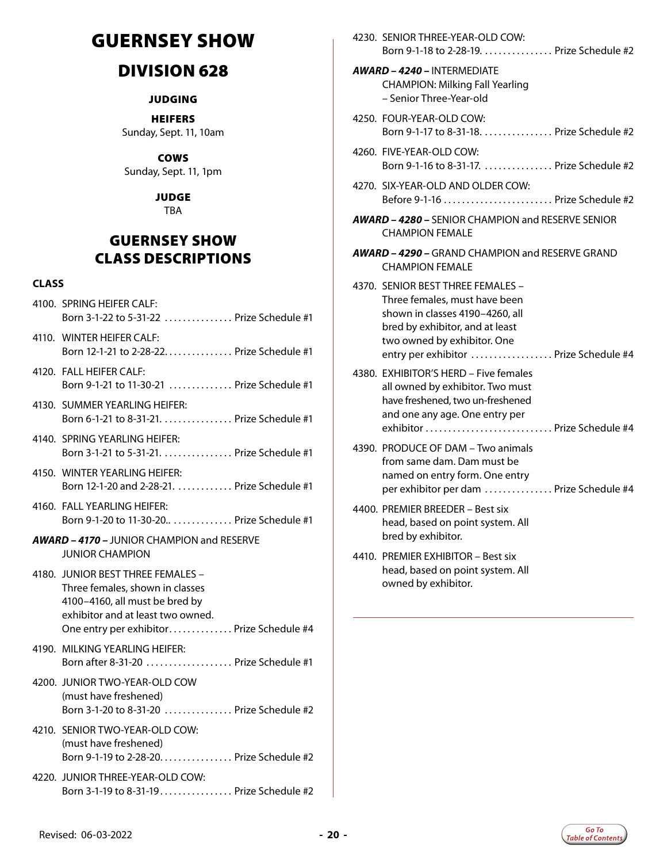# <span id="page-19-0"></span>GUERNSEY SHOW

### DIVISION 628

#### **JUDGING**

HEIFERS Sunday, Sept. 11, 10am

COWS Sunday, Sept. 11, 1pm

> JUDGE TBA

### GUERNSEY SHOW CLASS DESCRIPTIONS

- 4100. SPRING HEIFER CALF: Born 3-1-22 to 5-31-22 . . . . . . . . . . . . . . Prize Schedule #1
- 4110. WINTER HEIFER CALF: Born 12-1-21 to 2-28-22.. . . Prize Schedule #1
- 4120. FALL HEIFER CALF: Born 9-1-21 to 11-30-21 . . . . . . . . . . . . . Prize Schedule #1
- 4130. SUMMER YEARLING HEIFER: Born 6-1-21 to 8-31-21. . . . . . . . . . . . . . . Prize Schedule #1
- 4140. SPRING YEARLING HEIFER: Born 3-1-21 to 5-31-21.. . . Prize Schedule #1
- 4150. WINTER YEARLING HEIFER: Born 12-1-20 and 2-28-21. . . . . . . . . . . . Prize Schedule #1
- 4160. FALL YEARLING HEIFER: Born 9-1-20 to 11-30-20.. . . . . . . . . . . . . Prize Schedule #1
- *AWARD 4170* JUNIOR CHAMPION and RESERVE JUNIOR CHAMPION
- 4180. JUNIOR BEST THREE FEMALES Three females, shown in classes 4100–4160, all must be bred by exhibitor and at least two owned. One entry per exhibitor. . . . . . . . . . . . . . Prize Schedule #4
- 4190. MILKING YEARLING HEIFER: Born after 8-31-20 .................... Prize Schedule #1
- 4200. JUNIOR TWO-YEAR-OLD COW (must have freshened) Born 3-1-20 to 8-31-20 . . . . . . . . . . . . . . Prize Schedule #2
- 4210. SENIOR TWO-YEAR-OLD COW: (must have freshened) Born 9-1-19 to 2-28-20................ Prize Schedule #2
- 4220. JUNIOR THREE-YEAR-OLD COW: Born 3-1-19 to 8-31-19. . . . . . . . . . . . . . . Prize Schedule #2

|  | 4230. SENIOR THREE-YEAR-OLD COW:<br>Born 9-1-18 to 2-28-19. Prize Schedule #2                                                                                                                                     |
|--|-------------------------------------------------------------------------------------------------------------------------------------------------------------------------------------------------------------------|
|  | AWARD - 4240 - INTERMEDIATE<br><b>CHAMPION: Milking Fall Yearling</b><br>- Senior Three-Year-old                                                                                                                  |
|  | 4250. FOUR-YEAR-OLD COW:<br>Born 9-1-17 to 8-31-18. Prize Schedule #2                                                                                                                                             |
|  | 4260. FIVE-YEAR-OLD COW:<br>Born 9-1-16 to 8-31-17.  Prize Schedule #2                                                                                                                                            |
|  | 4270. SIX-YEAR-OLD AND OLDER COW:<br>Before 9-1-16  Prize Schedule #2                                                                                                                                             |
|  | <b>AWARD - 4280 - SENIOR CHAMPION and RESERVE SENIOR</b><br><b>CHAMPION FEMALE</b>                                                                                                                                |
|  | <b>AWARD – 4290 –</b> GRAND CHAMPION and RESERVE GRAND<br><b>CHAMPION FEMALE</b>                                                                                                                                  |
|  | 4370. SENIOR BEST THREE FEMALES -<br>Three females, must have been<br>shown in classes 4190-4260, all<br>bred by exhibitor, and at least<br>two owned by exhibitor. One<br>entry per exhibitor  Prize Schedule #4 |
|  | 4380. EXHIBITOR'S HERD - Five females<br>all owned by exhibitor. Two must<br>have freshened, two un-freshened<br>and one any age. One entry per<br>exhibitor  Prize Schedule #4                                   |
|  | 4390. PRODUCE OF DAM - Two animals<br>from same dam. Dam must be<br>named on entry form. One entry<br>per exhibitor per dam  Prize Schedule #4                                                                    |
|  | 4400. PREMIER BREEDER - Best six<br>head, based on point system. All<br>bred by exhibitor.                                                                                                                        |
|  | 4410. PREMIER EXHIBITOR - Best six<br>head, based on point system. All<br>owned by exhibitor.                                                                                                                     |

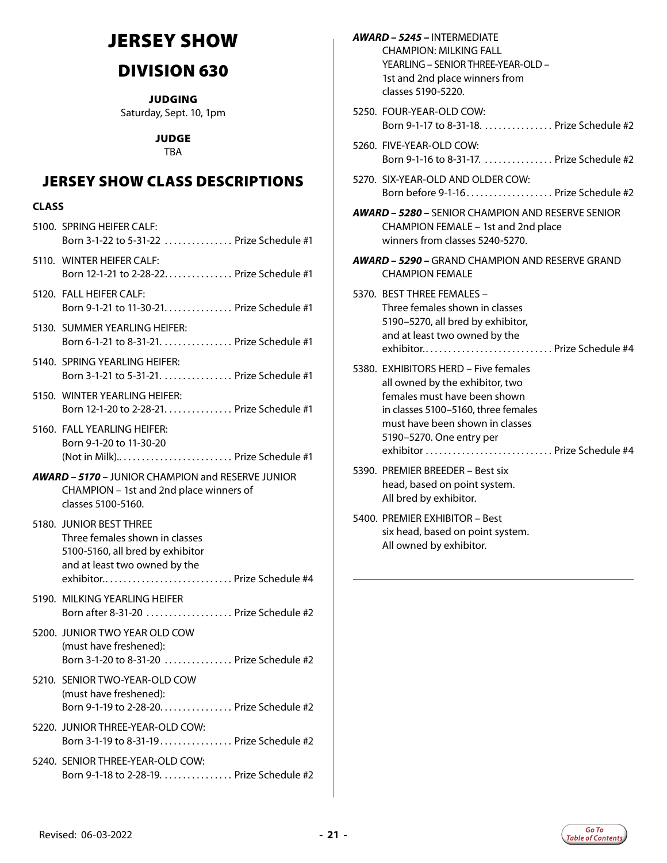# <span id="page-20-0"></span>JERSEY SHOW

# DIVISION 630

JUDGING Saturday, Sept. 10, 1pm

JUDGE

TBA

### JERSEY SHOW CLASS DESCRIPTIONS

#### **CLASS**

| 5100. SPRING HEIFER CALF:<br>Born 3-1-22 to 5-31-22  Prize Schedule #1                                                                                        |
|---------------------------------------------------------------------------------------------------------------------------------------------------------------|
| 5110. WINTER HEIFER CALF:<br>Born 12-1-21 to 2-28-22 Prize Schedule #1                                                                                        |
| 5120. FALL HEIFER CALF:<br>Born 9-1-21 to 11-30-21. Prize Schedule #1                                                                                         |
| 5130. SUMMER YEARLING HEIFER:<br>Born 6-1-21 to 8-31-21. Prize Schedule #1                                                                                    |
| 5140. SPRING YEARLING HEIFER:<br>Born 3-1-21 to 5-31-21. Prize Schedule #1                                                                                    |
| 5150. WINTER YEARLING HEIFER:<br>Born 12-1-20 to 2-28-21. Prize Schedule #1                                                                                   |
| 5160. FALL YEARLING HEIFER:<br>Born 9-1-20 to 11-30-20<br>(Not in Milk) Prize Schedule #1                                                                     |
| <b>AWARD - 5170 - JUNIOR CHAMPION and RESERVE JUNIOR</b><br>CHAMPION - 1st and 2nd place winners of<br>classes 5100-5160.                                     |
| 5180. JUNIOR BEST THREE<br>Three females shown in classes<br>5100-5160, all bred by exhibitor<br>and at least two owned by the<br>exhibitor Prize Schedule #4 |
| 5190. MILKING YEARLING HEIFER<br>Born after 8-31-20  Prize Schedule #2                                                                                        |
| 5200. JUNIOR TWO YEAR OLD COW<br>(must have freshened):<br>Born 3-1-20 to 8-31-20  Prize Schedule #2                                                          |
| 5210. SENIOR TWO-YEAR-OLD COW                                                                                                                                 |
| (must have freshened):<br>Born 9-1-19 to 2-28-20. Prize Schedule #2                                                                                           |
| 5220. JUNIOR THREE-YEAR-OLD COW:<br>Born 3-1-19 to 8-31-19 Prize Schedule #2                                                                                  |

| <b>AWARD - 5245 - INTERMEDIATE</b><br><b>CHAMPION: MILKING FALL</b><br>YEARLING - SENIOR THREE-YEAR-OLD -<br>1st and 2nd place winners from<br>classes 5190-5220.                                                                             |
|-----------------------------------------------------------------------------------------------------------------------------------------------------------------------------------------------------------------------------------------------|
| 5250. FOUR-YEAR-OLD COW:<br>Born 9-1-17 to 8-31-18. Prize Schedule #2                                                                                                                                                                         |
| 5260. FIVE-YEAR-OLD COW:<br>Born 9-1-16 to 8-31-17.  Prize Schedule #2                                                                                                                                                                        |
| 5270. SIX-YEAR-OLD AND OLDER COW:<br>Born before 9-1-16 Prize Schedule #2                                                                                                                                                                     |
| <b>AWARD - 5280 - SENIOR CHAMPION AND RESERVE SENIOR</b><br>CHAMPION FEMALE - 1st and 2nd place<br>winners from classes 5240-5270.                                                                                                            |
| <b>AWARD - 5290 - GRAND CHAMPION AND RESERVE GRAND</b><br><b>CHAMPION FEMALE</b>                                                                                                                                                              |
| 5370. BEST THREE FEMALES -<br>Three females shown in classes<br>5190-5270, all bred by exhibitor,<br>and at least two owned by the<br>exhibitor Prize Schedule #4                                                                             |
| 5380. EXHIBITORS HERD - Five females<br>all owned by the exhibitor, two<br>females must have been shown<br>in classes 5100-5160, three females<br>must have been shown in classes<br>5190-5270. One entry per<br>exhibitor  Prize Schedule #4 |
| 5390. PREMIER BREEDER - Best six<br>head, based on point system.<br>All bred by exhibitor.                                                                                                                                                    |

5400. PREMIER EXHIBITOR – Best six head, based on point system. All owned by exhibitor.

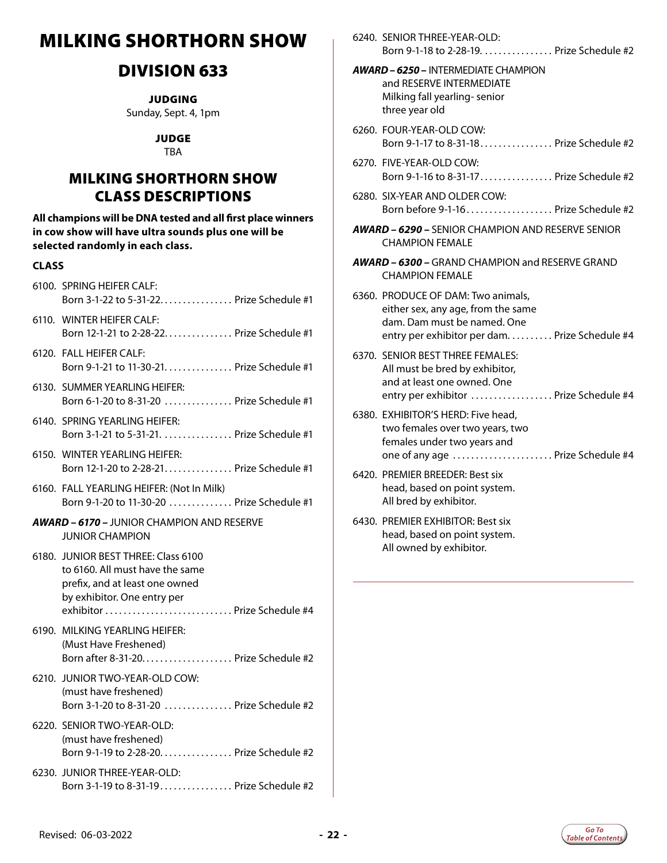# <span id="page-21-0"></span>MILKING SHORTHORN SHOW

### DIVISION 633

**JUDGING** 

Sunday, Sept. 4, 1pm

JUDGE

**TRA** 

### MILKING SHORTHORN SHOW CLASS DESCRIPTIONS

**All champions will be DNA tested and all first place winners in cow show will have ultra sounds plus one will be selected randomly in each class.**

- 6100. SPRING HEIFER CALF: Born 3-1-22 to 5-31-22................ Prize Schedule #1
- 6110. WINTER HEIFER CALF: Born 12-1-21 to 2-28-22.. . . Prize Schedule #1
- 6120. FALL HEIFER CALF: Born 9-1-21 to 11-30-21. . . . . . . . . . . . . . Prize Schedule #1
- 6130. SUMMER YEARLING HEIFER: Born 6-1-20 to 8-31-20 . . . . . . . . . . . . . . Prize Schedule #1
- 6140. SPRING YEARLING HEIFER: Born 3-1-21 to 5-31-21.. . . Prize Schedule #1
- 6150. WINTER YEARLING HEIFER: Born 12-1-20 to 2-28-21. . . . . . . . . . . . . . . Prize Schedule #1
- 6160. FALL YEARLING HEIFER: (Not In Milk) Born 9-1-20 to 11-30-20 . . . . . . . . . . . . . Prize Schedule #1
- *AWARD 6170* JUNIOR CHAMPION AND RESERVE JUNIOR CHAMPION
- 6180. JUNIOR BEST THREE: Class 6100 to 6160. All must have the same prefix, and at least one owned by exhibitor. One entry per exhibitor. . . Prize Schedule #4
- 6190. MILKING YEARLING HEIFER: (Must Have Freshened) Born after 8-31-20... $\ldots$ ............... Prize Schedule #2
- 6210. JUNIOR TWO-YEAR-OLD COW: (must have freshened) Born 3-1-20 to 8-31-20 . . . . . . . . . . . . . . Prize Schedule #2
- 6220. SENIOR TWO-YEAR-OLD: (must have freshened) Born 9-1-19 to 2-28-20. . . . . . . . . . . . . . . . Prize Schedule #2
- 6230. JUNIOR THREE-YEAR-OLD: Born 3-1-19 to 8-31-19. . . . . . . . . . . . . . . Prize Schedule #2
- 6240. SENIOR THREE-YEAR-OLD: Born 9-1-18 to 2-28-19. . . . . . . . . . . . . . . Prize Schedule #2
- *AWARD 6250 –* INTERMEDIATE CHAMPION and RESERVE INTERMEDIATE Milking fall yearling- senior three year old
- 6260. FOUR-YEAR-OLD COW: Born 9-1-17 to 8-31-18. . . . . . . . . . . . . . . Prize Schedule #2
- 6270. FIVE-YEAR-OLD COW: Born 9-1-16 to 8-31-17. . . . . . . . . . . . . . . Prize Schedule #2
- 6280. SIX-YEAR AND OLDER COW: Born before  $9-1-16$ ............................ Prize Schedule #2
- *AWARD 6290* SENIOR CHAMPION AND RESERVE SENIOR CHAMPION FEMALE
- *AWARD 6300* GRAND CHAMPION and RESERVE GRAND CHAMPION FEMALE
- 6360. PRODUCE OF DAM: Two animals, either sex, any age, from the same dam. Dam must be named. One entry per exhibitor per dam. . . . . . . . . . Prize Schedule #4
- 6370. SENIOR BEST THREE FEMALES: All must be bred by exhibitor, and at least one owned. One entry per exhibitor .................. Prize Schedule #4
- 6380. EXHIBITOR'S HERD: Five head, two females over two years, two females under two years and one of any age ....................... Prize Schedule #4
- 6420. PREMIER BREEDER: Best six head, based on point system. All bred by exhibitor.
- 6430. PREMIER EXHIBITOR: Best six head, based on point system. All owned by exhibitor.